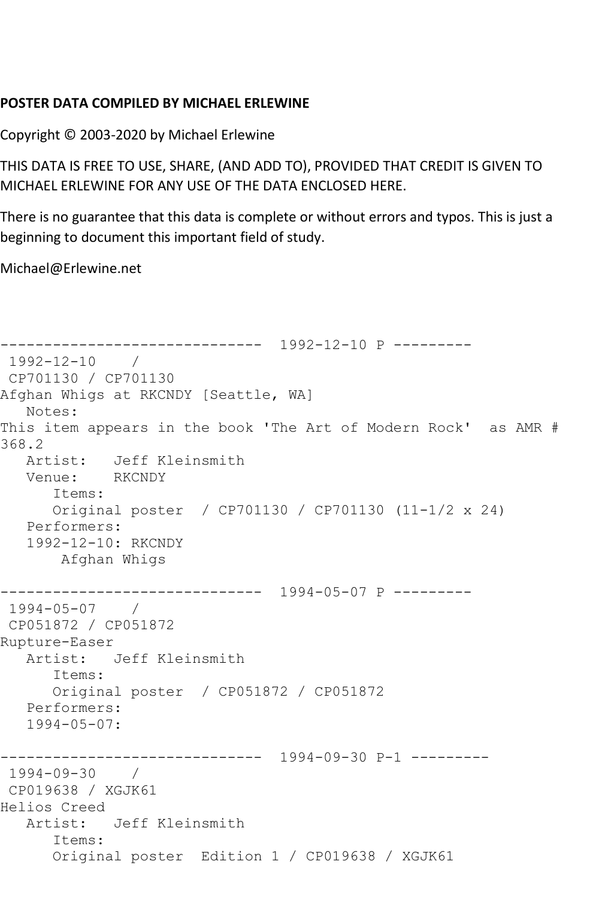## **POSTER DATA COMPILED BY MICHAEL ERLEWINE**

Copyright © 2003-2020 by Michael Erlewine

THIS DATA IS FREE TO USE, SHARE, (AND ADD TO), PROVIDED THAT CREDIT IS GIVEN TO MICHAEL ERLEWINE FOR ANY USE OF THE DATA ENCLOSED HERE.

There is no guarantee that this data is complete or without errors and typos. This is just a beginning to document this important field of study.

Michael@Erlewine.net

```
------------------------------ 1992-12-10 P ---------
1992-12-10 / 
CP701130 / CP701130
Afghan Whigs at RKCNDY [Seattle, WA]
  Notes: 
This item appears in the book 'The Art of Modern Rock' as AMR # 
368.2
   Artist: Jeff Kleinsmith
   Venue: RKCNDY
      Items:
      Original poster / CP701130 / CP701130 (11-1/2 x 24)
   Performers:
   1992-12-10: RKCNDY
       Afghan Whigs
     ------------------------------ 1994-05-07 P ---------
1994-05-07 / 
CP051872 / CP051872
Rupture-Easer
   Artist: Jeff Kleinsmith
      Items:
      Original poster / CP051872 / CP051872
   Performers:
   1994-05-07:
               ------------------------------ 1994-09-30 P-1 ---------
1994-09-30 / 
CP019638 / XGJK61
Helios Creed
   Artist: Jeff Kleinsmith
       Items:
      Original poster Edition 1 / CP019638 / XGJK61
```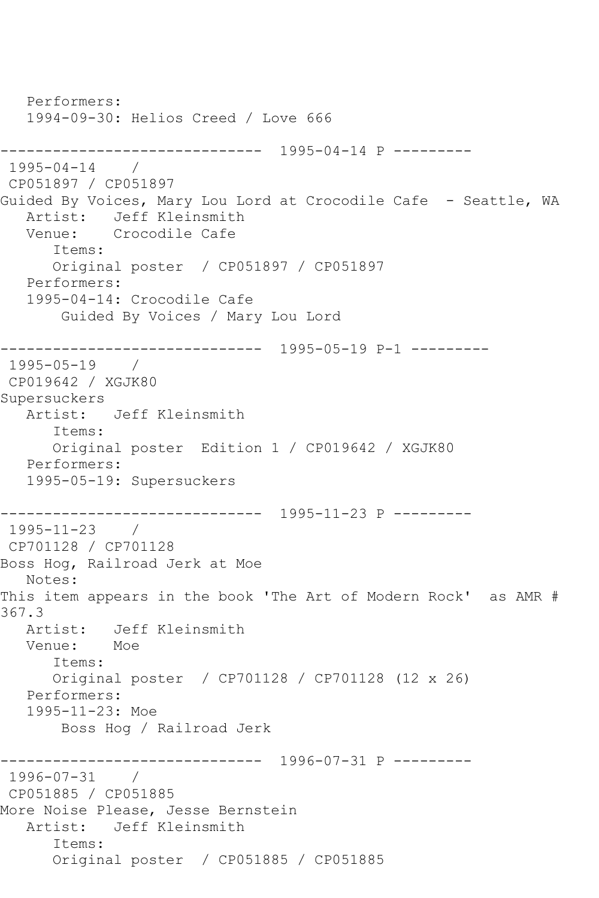Performers: 1994-09-30: Helios Creed / Love 666 ------------------------------ 1995-04-14 P ---------  $1995 - 04 - 14$ CP051897 / CP051897 Guided By Voices, Mary Lou Lord at Crocodile Cafe - Seattle, WA Artist: Jeff Kleinsmith Venue: Crocodile Cafe Items: Original poster / CP051897 / CP051897 Performers: 1995-04-14: Crocodile Cafe Guided By Voices / Mary Lou Lord ------------------------------ 1995-05-19 P-1 --------- 1995-05-19 / CP019642 / XGJK80 Supersuckers Artist: Jeff Kleinsmith Items: Original poster Edition 1 / CP019642 / XGJK80 Performers: 1995-05-19: Supersuckers ------------------------------ 1995-11-23 P --------- 1995-11-23 / CP701128 / CP701128 Boss Hog, Railroad Jerk at Moe Notes: This item appears in the book 'The Art of Modern Rock' as AMR # 367.3 Artist: Jeff Kleinsmith<br>Venue: Moe Venue: Items: Original poster / CP701128 / CP701128 (12 x 26) Performers: 1995-11-23: Moe Boss Hog / Railroad Jerk ------------------------------ 1996-07-31 P --------- 1996-07-31 / CP051885 / CP051885 More Noise Please, Jesse Bernstein Artist: Jeff Kleinsmith Items: Original poster / CP051885 / CP051885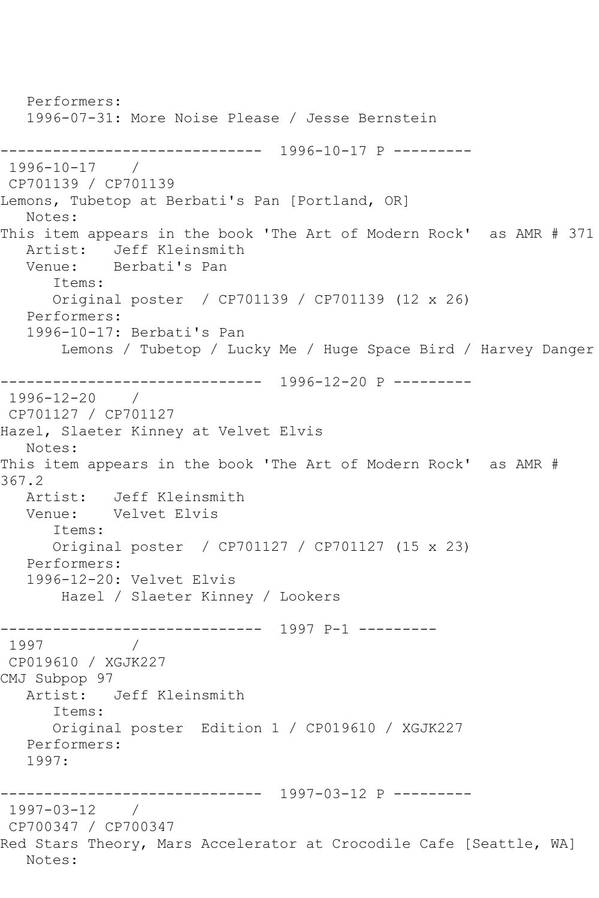Performers: 1996-07-31: More Noise Please / Jesse Bernstein ------------------------------ 1996-10-17 P --------- 1996-10-17 / CP701139 / CP701139 Lemons, Tubetop at Berbati's Pan [Portland, OR] Notes: This item appears in the book 'The Art of Modern Rock' as AMR # 371 Artist: Jeff Kleinsmith Venue: Berbati's Pan Items: Original poster / CP701139 / CP701139 (12 x 26) Performers: 1996-10-17: Berbati's Pan Lemons / Tubetop / Lucky Me / Huge Space Bird / Harvey Danger ------------------------------ 1996-12-20 P --------- 1996-12-20 / CP701127 / CP701127 Hazel, Slaeter Kinney at Velvet Elvis Notes: This item appears in the book 'The Art of Modern Rock' as AMR # 367.2 Artist: Jeff Kleinsmith<br>Venue: Velvet Elvis Velvet Elvis Items: Original poster / CP701127 / CP701127 (15 x 23) Performers: 1996-12-20: Velvet Elvis Hazel / Slaeter Kinney / Lookers ------------------------------ 1997 P-1 --------- 1997 / CP019610 / XGJK227 CMJ Subpop 97 Artist: Jeff Kleinsmith Items: Original poster Edition 1 / CP019610 / XGJK227 Performers: 1997: ------------------------------ 1997-03-12 P --------- 1997-03-12 / CP700347 / CP700347 Red Stars Theory, Mars Accelerator at Crocodile Cafe [Seattle, WA] Notes: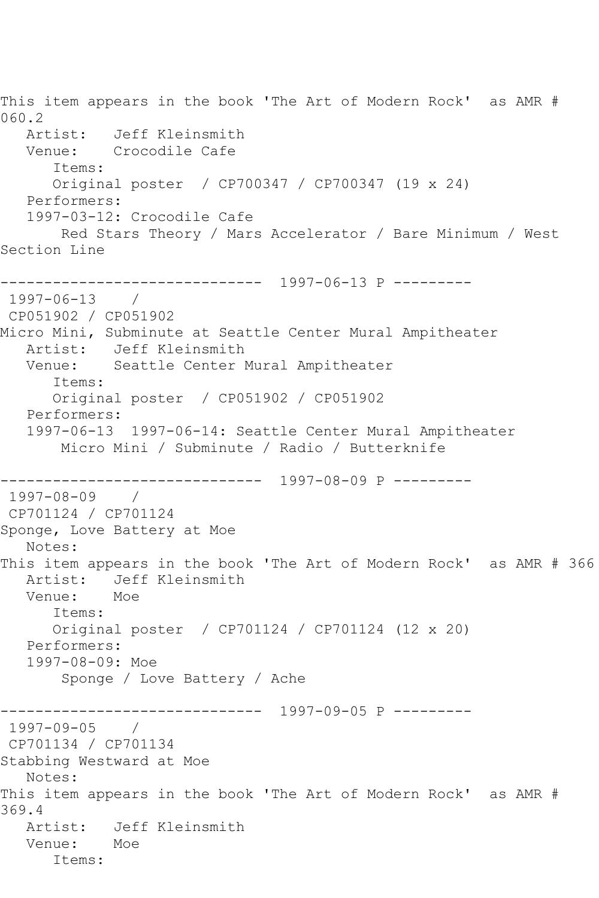This item appears in the book 'The Art of Modern Rock' as AMR # 060.2 Artist: Jeff Kleinsmith Venue: Crocodile Cafe Items: Original poster / CP700347 / CP700347 (19 x 24) Performers: 1997-03-12: Crocodile Cafe Red Stars Theory / Mars Accelerator / Bare Minimum / West Section Line ------------------------------ 1997-06-13 P --------- 1997-06-13 / CP051902 / CP051902 Micro Mini, Subminute at Seattle Center Mural Ampitheater Artist: Jeff Kleinsmith Venue: Seattle Center Mural Ampitheater Items: Original poster / CP051902 / CP051902 Performers: 1997-06-13 1997-06-14: Seattle Center Mural Ampitheater Micro Mini / Subminute / Radio / Butterknife ------------------------------ 1997-08-09 P --------- 1997-08-09 / CP701124 / CP701124 Sponge, Love Battery at Moe Notes: This item appears in the book 'The Art of Modern Rock' as AMR # 366 Artist: Jeff Kleinsmith Venue: Moe Items: Original poster / CP701124 / CP701124 (12 x 20) Performers: 1997-08-09: Moe Sponge / Love Battery / Ache ------------------------------ 1997-09-05 P --------- 1997-09-05 / CP701134 / CP701134 Stabbing Westward at Moe Notes: This item appears in the book 'The Art of Modern Rock' as AMR # 369.4 Artist: Jeff Kleinsmith<br>Venue: Moe Venue: Items: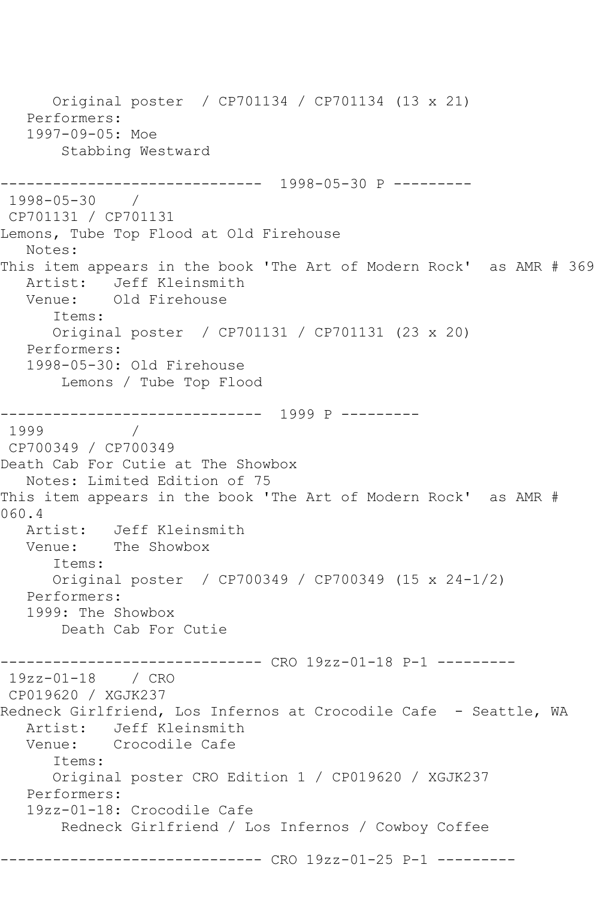```
 Original poster / CP701134 / CP701134 (13 x 21)
   Performers:
    1997-09-05: Moe
        Stabbing Westward
       ------------------------------ 1998-05-30 P ---------
1998-05-30 / 
CP701131 / CP701131
Lemons, Tube Top Flood at Old Firehouse
   Notes: 
This item appears in the book 'The Art of Modern Rock' as AMR # 369
  Artist: Jeff Kleinsmith<br>Venue: Old Firehouse
            Old Firehouse
       Items:
       Original poster / CP701131 / CP701131 (23 x 20)
   Performers:
    1998-05-30: Old Firehouse
        Lemons / Tube Top Flood
------------------------------ 1999 P ---------
1999 / 
CP700349 / CP700349
Death Cab For Cutie at The Showbox
   Notes: Limited Edition of 75
This item appears in the book 'The Art of Modern Rock' as AMR # 
060.4<br>: Artist
            Jeff Kleinsmith
   Venue: The Showbox
       Items:
       Original poster / CP700349 / CP700349 (15 x 24-1/2)
   Performers:
    1999: The Showbox
        Death Cab For Cutie
      ------------------------------ CRO 19zz-01-18 P-1 ---------
19zz-01-18 / CRO 
CP019620 / XGJK237
Redneck Girlfriend, Los Infernos at Crocodile Cafe - Seattle, WA
  Artist: Jeff Kleinsmith<br>Venue: Crocodile Cafe
           Crocodile Cafe
       Items:
       Original poster CRO Edition 1 / CP019620 / XGJK237
   Performers:
    19zz-01-18: Crocodile Cafe
        Redneck Girlfriend / Los Infernos / Cowboy Coffee
------------------------------ CRO 19zz-01-25 P-1 ---------
```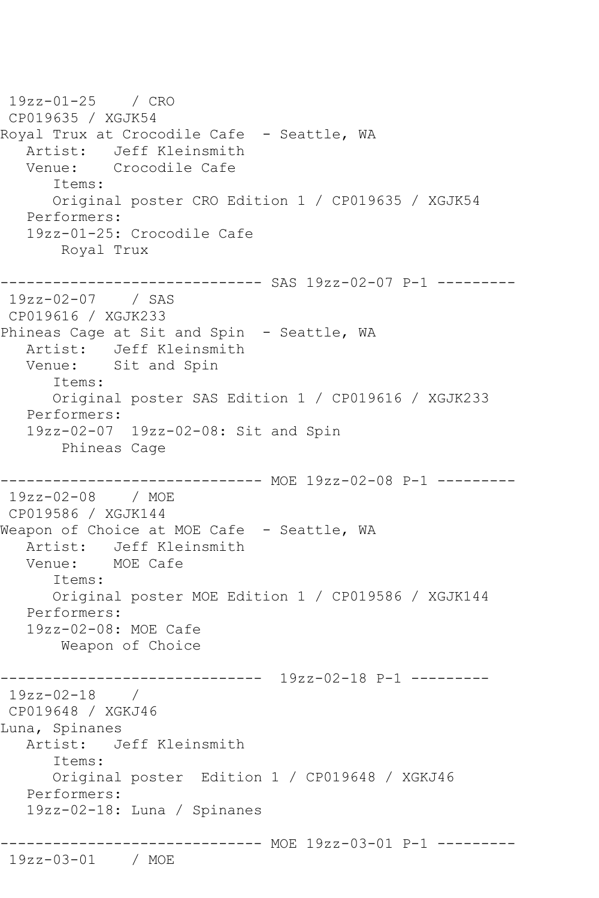19zz-01-25 / CRO CP019635 / XGJK54 Royal Trux at Crocodile Cafe - Seattle, WA Artist: Jeff Kleinsmith<br>Venue: Crocodile Cafe Crocodile Cafe Items: Original poster CRO Edition 1 / CP019635 / XGJK54 Performers: 19zz-01-25: Crocodile Cafe Royal Trux ------------ SAS 19zz-02-07 P-1 ---------19zz-02-07 / SAS CP019616 / XGJK233 Phineas Cage at Sit and Spin - Seattle, WA Artist: Jeff Kleinsmith Venue: Sit and Spin Items: Original poster SAS Edition 1 / CP019616 / XGJK233 Performers: 19zz-02-07 19zz-02-08: Sit and Spin Phineas Cage ------------------------------ MOE 19zz-02-08 P-1 --------- 19zz-02-08 / MOE CP019586 / XGJK144 Weapon of Choice at MOE Cafe - Seattle, WA Artist: Jeff Kleinsmith Venue: MOE Cafe Items: Original poster MOE Edition 1 / CP019586 / XGJK144 Performers: 19zz-02-08: MOE Cafe Weapon of Choice ------------------------------ 19zz-02-18 P-1 --------- 19zz-02-18 / CP019648 / XGKJ46 Luna, Spinanes Artist: Jeff Kleinsmith Items: Original poster Edition 1 / CP019648 / XGKJ46 Performers: 19zz-02-18: Luna / Spinanes ------------------------------ MOE 19zz-03-01 P-1 --------- 19zz-03-01 / MOE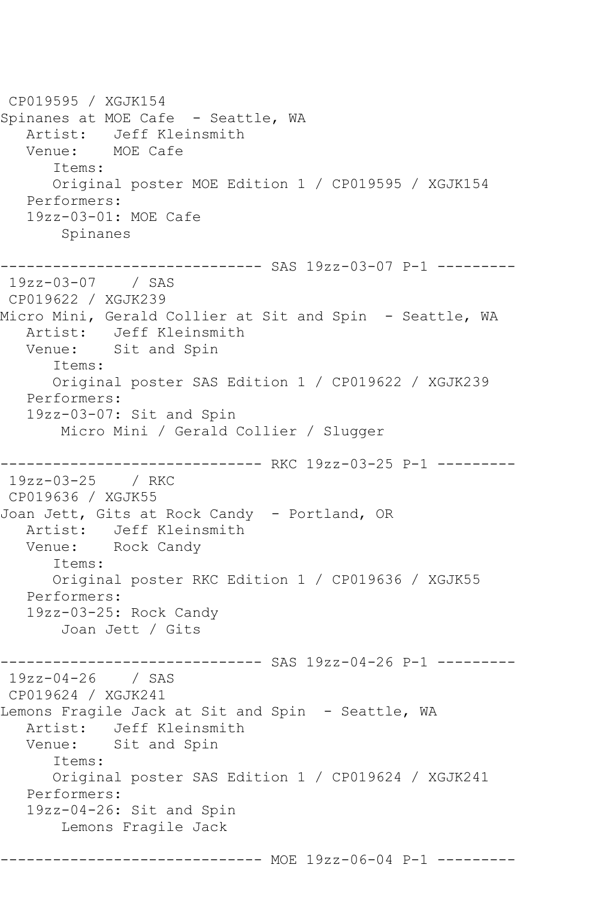CP019595 / XGJK154 Spinanes at MOE Cafe - Seattle, WA Artist: Jeff Kleinsmith Venue: MOE Cafe Items: Original poster MOE Edition 1 / CP019595 / XGJK154 Performers: 19zz-03-01: MOE Cafe Spinanes ------------------------------ SAS 19zz-03-07 P-1 --------- 19zz-03-07 / SAS CP019622 / XGJK239 Micro Mini, Gerald Collier at Sit and Spin - Seattle, WA Artist: Jeff Kleinsmith Venue: Sit and Spin Items: Original poster SAS Edition 1 / CP019622 / XGJK239 Performers: 19zz-03-07: Sit and Spin Micro Mini / Gerald Collier / Slugger ------------------------------ RKC 19zz-03-25 P-1 --------- 19zz-03-25 / RKC CP019636 / XGJK55 Joan Jett, Gits at Rock Candy - Portland, OR Artist: Jeff Kleinsmith Venue: Rock Candy Items: Original poster RKC Edition 1 / CP019636 / XGJK55 Performers: 19zz-03-25: Rock Candy Joan Jett / Gits ------------------------------ SAS 19zz-04-26 P-1 --------- 19zz-04-26 / SAS CP019624 / XGJK241 Lemons Fragile Jack at Sit and Spin - Seattle, WA Artist: Jeff Kleinsmith Venue: Sit and Spin Items: Original poster SAS Edition 1 / CP019624 / XGJK241 Performers: 19zz-04-26: Sit and Spin Lemons Fragile Jack ------------------------------ MOE 19zz-06-04 P-1 ---------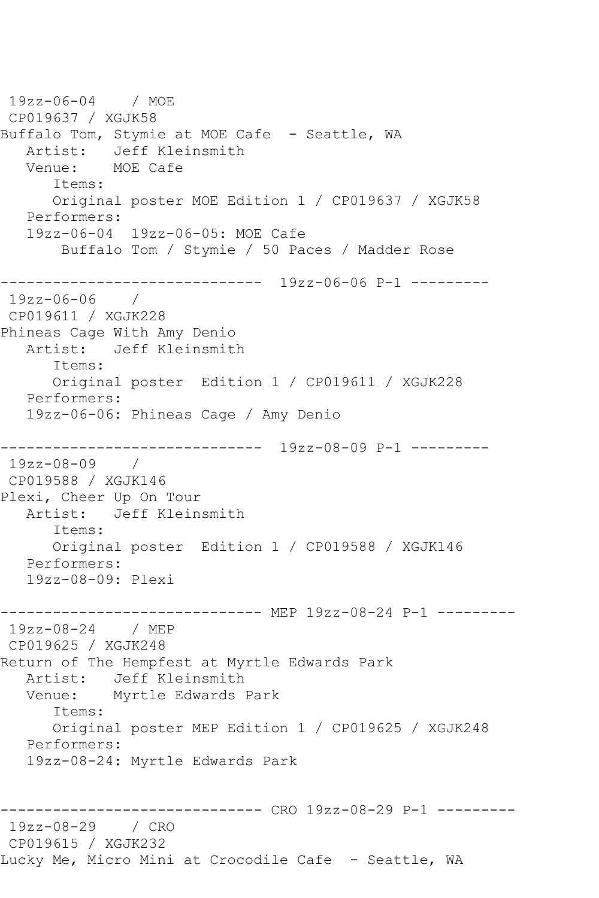19zz-06-04 / MOE CP019637 / XGJK58 Buffalo Tom, Stymie at MOE Cafe - Seattle, WA Artist: Jeff Kleinsmith<br>Venue: MOE Cafe MOE Cafe Items: Original poster MOE Edition 1 / CP019637 / XGJK58 Performers: 19zz-06-04 19zz-06-05: MOE Cafe Buffalo Tom / Stymie / 50 Paces / Madder Rose ------------------------------ 19zz-06-06 P-1 --------- 19zz-06-06 / CP019611 / XGJK228 Phineas Cage With Amy Denio Artist: Jeff Kleinsmith Items: Original poster Edition 1 / CP019611 / XGJK228 Performers: 19zz-06-06: Phineas Cage / Amy Denio ------------------------------ 19zz-08-09 P-1 --------- 19zz-08-09 / CP019588 / XGJK146 Plexi, Cheer Up On Tour Artist: Jeff Kleinsmith Items: Original poster Edition 1 / CP019588 / XGJK146 Performers: 19zz-08-09: Plexi ------------------------------ MEP 19zz-08-24 P-1 --------- 19zz-08-24 / MEP CP019625 / XGJK248 Return of The Hempfest at Myrtle Edwards Park Artist: Jeff Kleinsmith<br>Venue: Myrtle Edwards J Myrtle Edwards Park Items: Original poster MEP Edition 1 / CP019625 / XGJK248 Performers: 19zz-08-24: Myrtle Edwards Park ------------------------------ CRO 19zz-08-29 P-1 --------- 19zz-08-29 / CRO CP019615 / XGJK232 Lucky Me, Micro Mini at Crocodile Cafe - Seattle, WA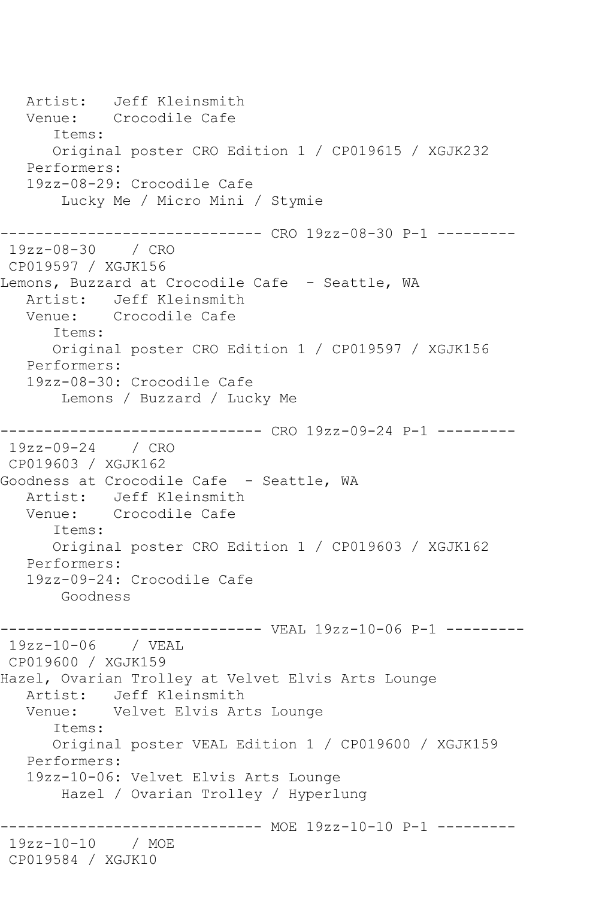Artist: Jeff Kleinsmith<br>Venue: Crocodile Cafe Crocodile Cafe Items: Original poster CRO Edition 1 / CP019615 / XGJK232 Performers: 19zz-08-29: Crocodile Cafe Lucky Me / Micro Mini / Stymie ------------------------------ CRO 19zz-08-30 P-1 --------- 19zz-08-30 / CRO CP019597 / XGJK156 Lemons, Buzzard at Crocodile Cafe - Seattle, WA Artist: Jeff Kleinsmith Venue: Crocodile Cafe Items: Original poster CRO Edition 1 / CP019597 / XGJK156 Performers: 19zz-08-30: Crocodile Cafe Lemons / Buzzard / Lucky Me ------------------------------ CRO 19zz-09-24 P-1 --------- 19zz-09-24 / CRO CP019603 / XGJK162 Goodness at Crocodile Cafe - Seattle, WA Artist: Jeff Kleinsmith<br>Venue: Crocodile Cafe Crocodile Cafe Items: Original poster CRO Edition 1 / CP019603 / XGJK162 Performers: 19zz-09-24: Crocodile Cafe Goodness ------------------------------ VEAL 19zz-10-06 P-1 --------- 19zz-10-06 / VEAL CP019600 / XGJK159 Hazel, Ovarian Trolley at Velvet Elvis Arts Lounge Artist: Jeff Kleinsmith Venue: Velvet Elvis Arts Lounge Items: Original poster VEAL Edition 1 / CP019600 / XGJK159 Performers: 19zz-10-06: Velvet Elvis Arts Lounge Hazel / Ovarian Trolley / Hyperlung ------------------------------ MOE 19zz-10-10 P-1 --------- 19zz-10-10 / MOE CP019584 / XGJK10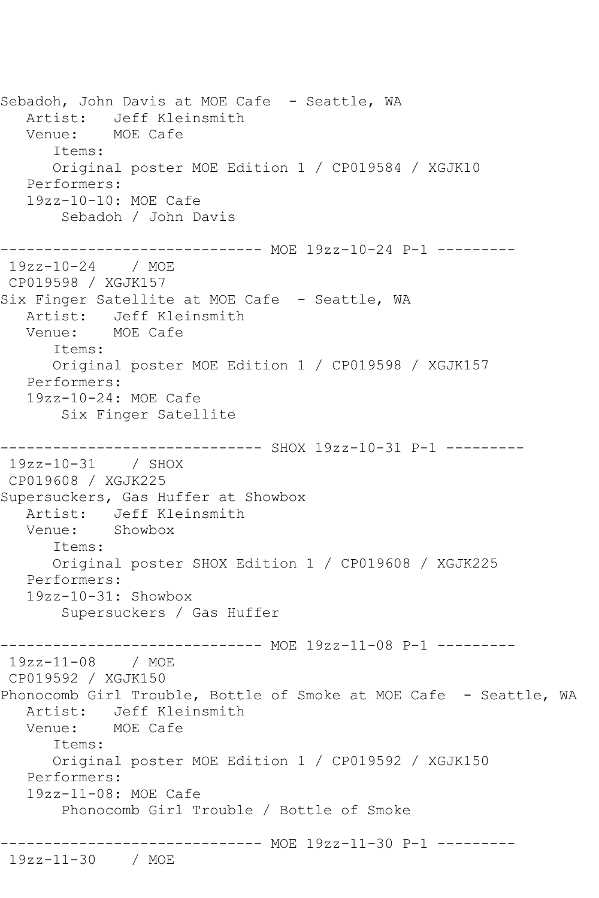Sebadoh, John Davis at MOE Cafe - Seattle, WA Artist: Jeff Kleinsmith Venue: MOE Cafe Items: Original poster MOE Edition 1 / CP019584 / XGJK10 Performers: 19zz-10-10: MOE Cafe Sebadoh / John Davis ------------------------------ MOE 19zz-10-24 P-1 --------- 19zz-10-24 / MOE CP019598 / XGJK157 Six Finger Satellite at MOE Cafe - Seattle, WA Artist: Jeff Kleinsmith<br>Venue: MOE Cafe MOE Cafe Items: Original poster MOE Edition 1 / CP019598 / XGJK157 Performers: 19zz-10-24: MOE Cafe Six Finger Satellite ---------- SHOX 19zz-10-31 P-1 ---------19zz-10-31 / SHOX CP019608 / XGJK225 Supersuckers, Gas Huffer at Showbox Artist: Jeff Kleinsmith Venue: Showbox Items: Original poster SHOX Edition 1 / CP019608 / XGJK225 Performers: 19zz-10-31: Showbox Supersuckers / Gas Huffer ------------------------------ MOE 19zz-11-08 P-1 --------- 19zz-11-08 / MOE CP019592 / XGJK150 Phonocomb Girl Trouble, Bottle of Smoke at MOE Cafe - Seattle, WA Artist: Jeff Kleinsmith Venue: MOE Cafe Items: Original poster MOE Edition 1 / CP019592 / XGJK150 Performers: 19zz-11-08: MOE Cafe Phonocomb Girl Trouble / Bottle of Smoke ------------------------------ MOE 19zz-11-30 P-1 --------- 19zz-11-30 / MOE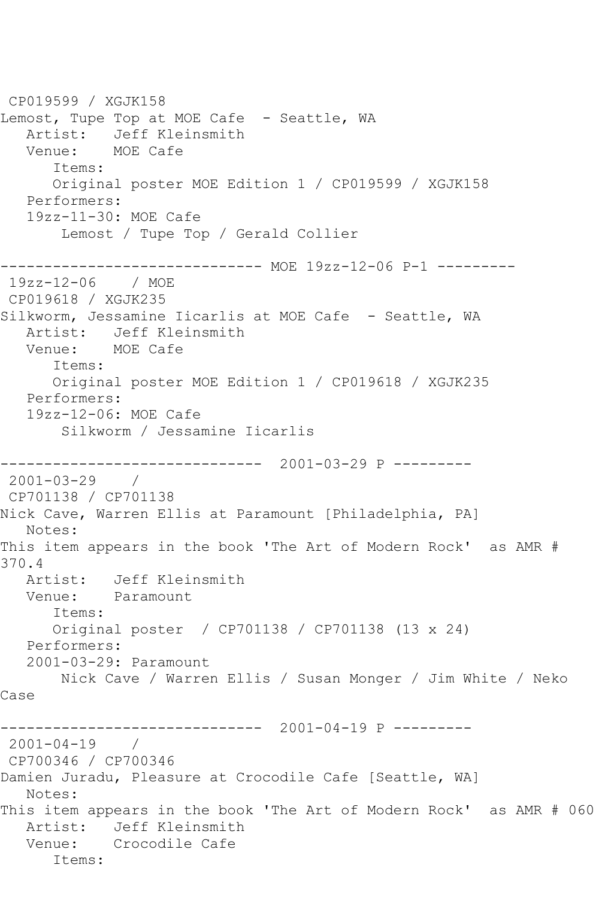CP019599 / XGJK158 Lemost, Tupe Top at MOE Cafe - Seattle, WA Artist: Jeff Kleinsmith Venue: MOE Cafe Items: Original poster MOE Edition 1 / CP019599 / XGJK158 Performers: 19zz-11-30: MOE Cafe Lemost / Tupe Top / Gerald Collier ------------------------------ MOE 19zz-12-06 P-1 --------- 19zz-12-06 / MOE CP019618 / XGJK235 Silkworm, Jessamine Iicarlis at MOE Cafe - Seattle, WA Artist: Jeff Kleinsmith Venue: MOE Cafe Items: Original poster MOE Edition 1 / CP019618 / XGJK235 Performers: 19zz-12-06: MOE Cafe Silkworm / Jessamine Iicarlis ------------------------------ 2001-03-29 P --------- 2001-03-29 / CP701138 / CP701138 Nick Cave, Warren Ellis at Paramount [Philadelphia, PA] Notes: This item appears in the book 'The Art of Modern Rock' as AMR # 370.4 Artist: Jeff Kleinsmith Venue: Paramount Items: Original poster / CP701138 / CP701138 (13 x 24) Performers: 2001-03-29: Paramount Nick Cave / Warren Ellis / Susan Monger / Jim White / Neko Case ------------------------------ 2001-04-19 P --------- 2001-04-19 / CP700346 / CP700346 Damien Juradu, Pleasure at Crocodile Cafe [Seattle, WA] Notes: This item appears in the book 'The Art of Modern Rock' as AMR # 060 Artist: Jeff Kleinsmith Venue: Crocodile Cafe Items: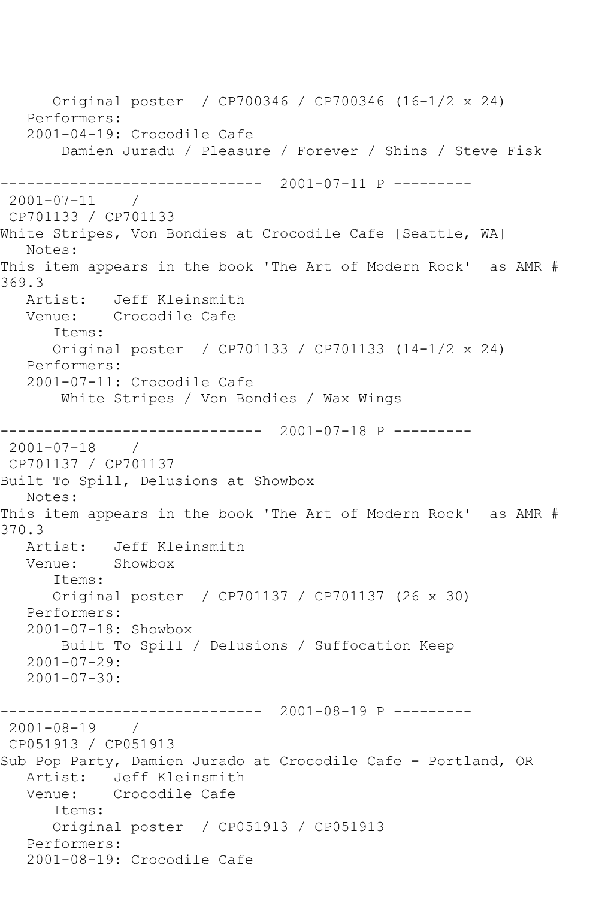```
 Original poster / CP700346 / CP700346 (16-1/2 x 24)
   Performers:
   2001-04-19: Crocodile Cafe
        Damien Juradu / Pleasure / Forever / Shins / Steve Fisk
         ------------------------------ 2001-07-11 P ---------
2001-07-11 / 
CP701133 / CP701133
White Stripes, Von Bondies at Crocodile Cafe [Seattle, WA]
   Notes: 
This item appears in the book 'The Art of Modern Rock' as AMR # 
369.3
   Artist: Jeff Kleinsmith
   Venue: Crocodile Cafe
       Items:
       Original poster / CP701133 / CP701133 (14-1/2 x 24)
   Performers:
   2001-07-11: Crocodile Cafe
        White Stripes / Von Bondies / Wax Wings
------------------------------ 2001-07-18 P ---------
2001-07-18 / 
CP701137 / CP701137
Built To Spill, Delusions at Showbox
   Notes: 
This item appears in the book 'The Art of Modern Rock' as AMR # 
370.3
   Artist: Jeff Kleinsmith
   Venue: Showbox
       Items:
      Original poster / CP701137 / CP701137 (26 x 30)
   Performers:
   2001-07-18: Showbox
        Built To Spill / Delusions / Suffocation Keep
   2001-07-29:
   2001-07-30:
              ------------------------------ 2001-08-19 P ---------
2001-08-19 / 
CP051913 / CP051913
Sub Pop Party, Damien Jurado at Crocodile Cafe - Portland, OR
   Artist: Jeff Kleinsmith
   Venue: Crocodile Cafe
       Items:
      Original poster / CP051913 / CP051913
   Performers:
   2001-08-19: Crocodile Cafe
```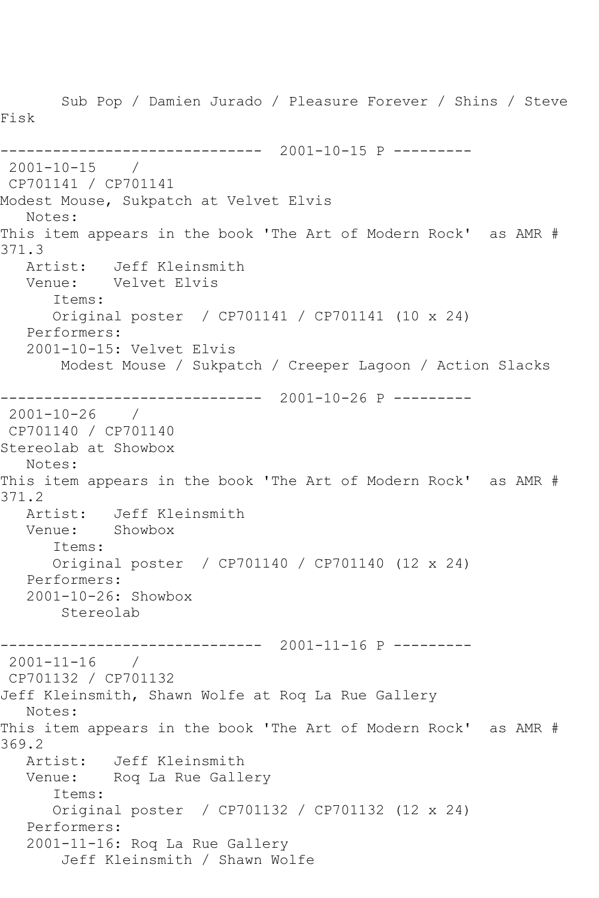Sub Pop / Damien Jurado / Pleasure Forever / Shins / Steve Fisk ------------------------------ 2001-10-15 P ---------  $2001 - 10 - 15$ CP701141 / CP701141 Modest Mouse, Sukpatch at Velvet Elvis Notes: This item appears in the book 'The Art of Modern Rock' as AMR # 371.3<br>Artist: Artist: Jeff Kleinsmith Venue: Velvet Elvis Items: Original poster / CP701141 / CP701141 (10 x 24) Performers: 2001-10-15: Velvet Elvis Modest Mouse / Sukpatch / Creeper Lagoon / Action Slacks ------------------------------ 2001-10-26 P --------- 2001-10-26 / CP701140 / CP701140 Stereolab at Showbox Notes: This item appears in the book 'The Art of Modern Rock' as AMR # 371.2 Artist: Jeff Kleinsmith Venue: Showbox Items: Original poster / CP701140 / CP701140 (12 x 24) Performers: 2001-10-26: Showbox Stereolab ------------------------------ 2001-11-16 P --------- 2001-11-16 / CP701132 / CP701132 Jeff Kleinsmith, Shawn Wolfe at Roq La Rue Gallery Notes: This item appears in the book 'The Art of Modern Rock' as AMR # 369.2 Artist: Jeff Kleinsmith Venue: Roq La Rue Gallery Items: Original poster / CP701132 / CP701132 (12 x 24) Performers: 2001-11-16: Roq La Rue Gallery Jeff Kleinsmith / Shawn Wolfe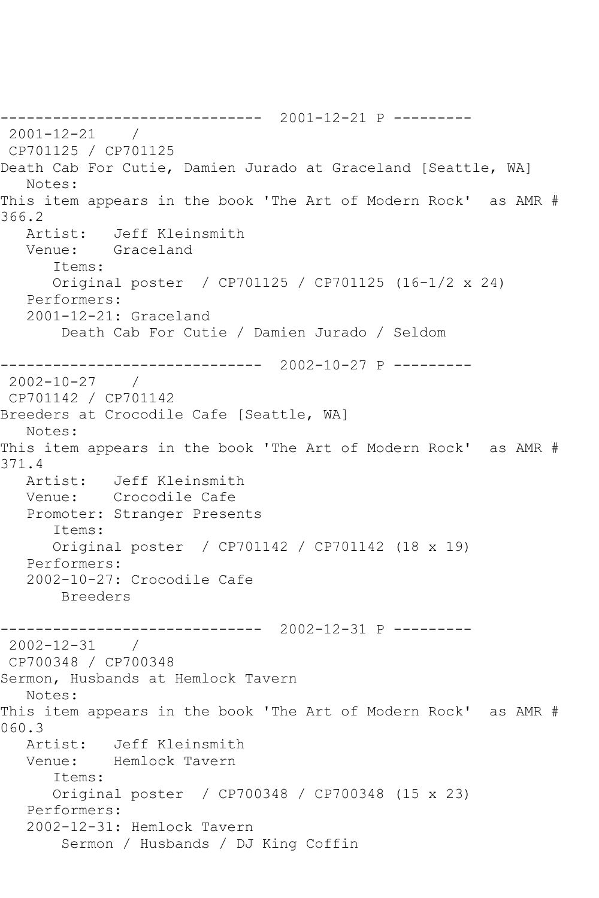------------------------------ 2001-12-21 P --------- 2001-12-21 / CP701125 / CP701125 Death Cab For Cutie, Damien Jurado at Graceland [Seattle, WA] Notes: This item appears in the book 'The Art of Modern Rock' as AMR # 366.2 Artist: Jeff Kleinsmith Venue: Graceland Items: Original poster / CP701125 / CP701125 (16-1/2 x 24) Performers: 2001-12-21: Graceland Death Cab For Cutie / Damien Jurado / Seldom ------------------------------ 2002-10-27 P --------- 2002-10-27 / CP701142 / CP701142 Breeders at Crocodile Cafe [Seattle, WA] Notes: This item appears in the book 'The Art of Modern Rock' as AMR # 371.4<br>: Artist Jeff Kleinsmith Venue: Crocodile Cafe Promoter: Stranger Presents Items: Original poster / CP701142 / CP701142 (18 x 19) Performers: 2002-10-27: Crocodile Cafe Breeders ------------------------------ 2002-12-31 P --------- 2002-12-31 / CP700348 / CP700348 Sermon, Husbands at Hemlock Tavern Notes: This item appears in the book 'The Art of Modern Rock' as AMR # 060.3<br>Artist: Artist: Jeff Kleinsmith Venue: Hemlock Tavern Items: Original poster / CP700348 / CP700348 (15 x 23) Performers: 2002-12-31: Hemlock Tavern Sermon / Husbands / DJ King Coffin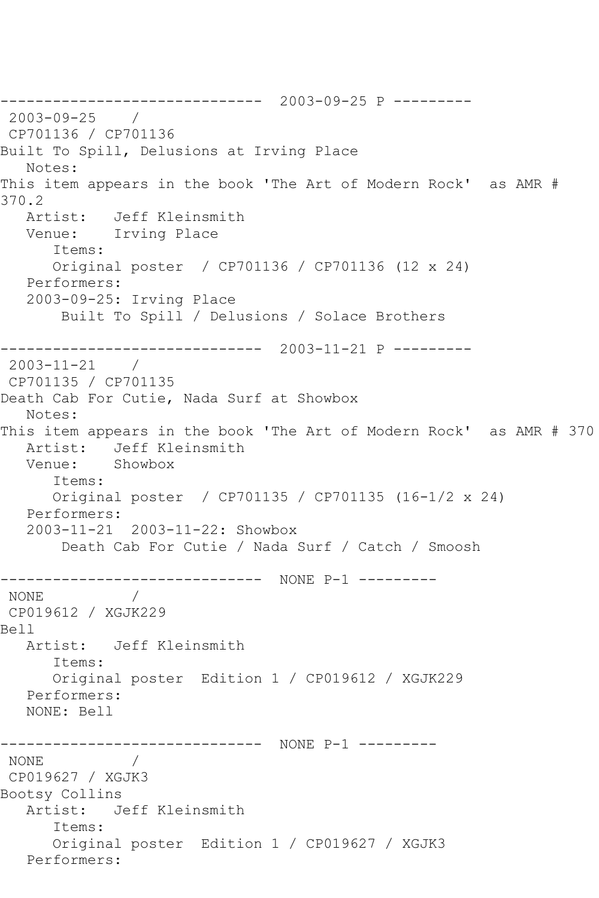------------------------------ 2003-09-25 P --------- 2003-09-25 / CP701136 / CP701136 Built To Spill, Delusions at Irving Place Notes: This item appears in the book 'The Art of Modern Rock' as AMR # 370.2 Artist: Jeff Kleinsmith Venue: Irving Place Items: Original poster / CP701136 / CP701136 (12 x 24) Performers: 2003-09-25: Irving Place Built To Spill / Delusions / Solace Brothers ------------------------------ 2003-11-21 P --------- 2003-11-21 / CP701135 / CP701135 Death Cab For Cutie, Nada Surf at Showbox Notes: This item appears in the book 'The Art of Modern Rock' as AMR # 370 Artist: Jeff Kleinsmith Venue: Showbox Items: Original poster / CP701135 / CP701135 (16-1/2 x 24) Performers: 2003-11-21 2003-11-22: Showbox Death Cab For Cutie / Nada Surf / Catch / Smoosh ------------------------------ NONE P-1 --------- NONE / CP019612 / XGJK229 Bell Artist: Jeff Kleinsmith Items: Original poster Edition 1 / CP019612 / XGJK229 Performers: NONE: Bell ------------------------------ NONE P-1 --------- NONE / CP019627 / XGJK3 Bootsy Collins Artist: Jeff Kleinsmith Items: Original poster Edition 1 / CP019627 / XGJK3 Performers: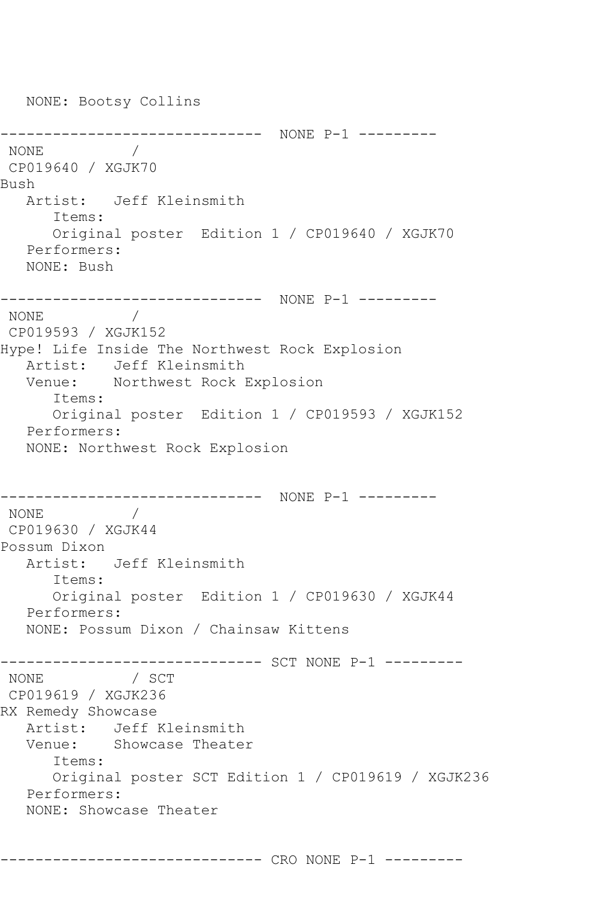NONE: Bootsy Collins ------------------------------ NONE P-1 --------- NONE **MONE** CP019640 / XGJK70 Bush Artist: Jeff Kleinsmith Items: Original poster Edition 1 / CP019640 / XGJK70 Performers: NONE: Bush ------------------------------ NONE P-1 --------- NONE / CP019593 / XGJK152 Hype! Life Inside The Northwest Rock Explosion Artist: Jeff Kleinsmith Venue: Northwest Rock Explosion Items: Original poster Edition 1 / CP019593 / XGJK152 Performers: NONE: Northwest Rock Explosion ------------------------------ NONE P-1 --------- NONE / CP019630 / XGJK44 Possum Dixon Artist: Jeff Kleinsmith Items: Original poster Edition 1 / CP019630 / XGJK44 Performers: NONE: Possum Dixon / Chainsaw Kittens ------------ SCT NONE P-1 ---------NONE / SCT CP019619 / XGJK236 RX Remedy Showcase Artist: Jeff Kleinsmith<br>Venue: Showcase Theate Showcase Theater Items: Original poster SCT Edition 1 / CP019619 / XGJK236 Performers: NONE: Showcase Theater

------------------------------ CRO NONE P-1 ---------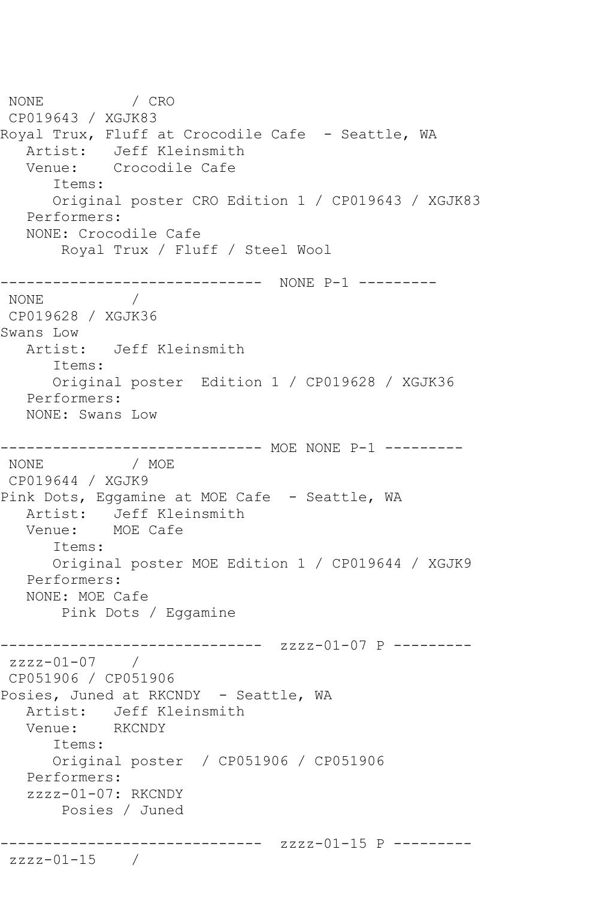NONE / CRO CP019643 / XGJK83 Royal Trux, Fluff at Crocodile Cafe - Seattle, WA Artist: Jeff Kleinsmith Venue: Crocodile Cafe Items: Original poster CRO Edition 1 / CP019643 / XGJK83 Performers: NONE: Crocodile Cafe Royal Trux / Fluff / Steel Wool ------------------------------ NONE P-1 --------- NONE / CP019628 / XGJK36 Swans Low Artist: Jeff Kleinsmith Items: Original poster Edition 1 / CP019628 / XGJK36 Performers: NONE: Swans Low ------------------------------ MOE NONE P-1 --------- NONE / MOE CP019644 / XGJK9 Pink Dots, Eggamine at MOE Cafe - Seattle, WA Artist: Jeff Kleinsmith Venue: MOE Cafe Items: Original poster MOE Edition 1 / CP019644 / XGJK9 Performers: NONE: MOE Cafe Pink Dots / Eggamine ------------------------------ zzzz-01-07 P -------- zzzz-01-07 / CP051906 / CP051906 Posies, Juned at RKCNDY - Seattle, WA Artist: Jeff Kleinsmith<br>Venue: RKCNDY Venue: Items: Original poster / CP051906 / CP051906 Performers: zzzz-01-07: RKCNDY Posies / Juned ------------------------------ zzzz-01-15 P -------- zzzz-01-15 /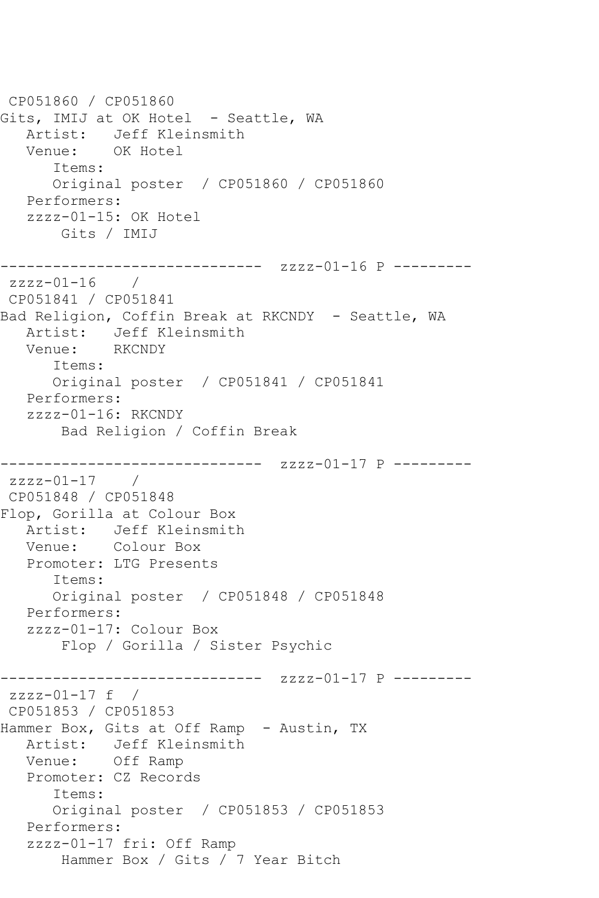CP051860 / CP051860 Gits, IMIJ at OK Hotel - Seattle, WA Artist: Jeff Kleinsmith Venue: OK Hotel Items: Original poster / CP051860 / CP051860 Performers: zzzz-01-15: OK Hotel Gits / IMIJ ------------------------------ zzzz-01-16 P -------- zzzz-01-16 / CP051841 / CP051841 Bad Religion, Coffin Break at RKCNDY - Seattle, WA Artist: Jeff Kleinsmith Venue: RKCNDY Items: Original poster / CP051841 / CP051841 Performers: zzzz-01-16: RKCNDY Bad Religion / Coffin Break ------------------------------ zzzz-01-17 P -------- zzzz-01-17 / CP051848 / CP051848 Flop, Gorilla at Colour Box Artist: Jeff Kleinsmith Venue: Colour Box Promoter: LTG Presents Items: Original poster / CP051848 / CP051848 Performers: zzzz-01-17: Colour Box Flop / Gorilla / Sister Psychic ------------------------------ zzzz-01-17 P -------- zzzz-01-17 f / CP051853 / CP051853 Hammer Box, Gits at Off Ramp - Austin, TX Artist: Jeff Kleinsmith Venue: Off Ramp Promoter: CZ Records Items: Original poster / CP051853 / CP051853 Performers: zzzz-01-17 fri: Off Ramp Hammer Box / Gits / 7 Year Bitch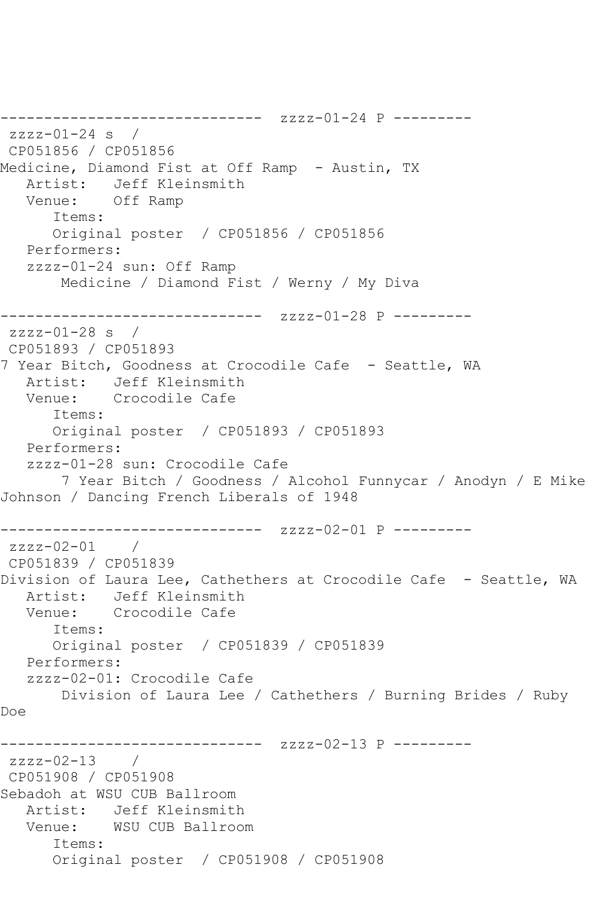```
------------------------------ zzzz-01-24 P ---------
zzzz-01-24 s / 
CP051856 / CP051856
Medicine, Diamond Fist at Off Ramp - Austin, TX
   Artist: Jeff Kleinsmith
   Venue: Off Ramp
      Items:
      Original poster / CP051856 / CP051856
   Performers:
   zzzz-01-24 sun: Off Ramp
       Medicine / Diamond Fist / Werny / My Diva
------------------------------ zzzz-01-28 P ---------
zzzz-01-28 s / 
CP051893 / CP051893
7 Year Bitch, Goodness at Crocodile Cafe - Seattle, WA
   Artist: Jeff Kleinsmith
   Venue: Crocodile Cafe
      Items:
      Original poster / CP051893 / CP051893
   Performers:
   zzzz-01-28 sun: Crocodile Cafe
       7 Year Bitch / Goodness / Alcohol Funnycar / Anodyn / E Mike 
Johnson / Dancing French Liberals of 1948
------------------------------ zzzz-02-01 P ---------
zzzz-02-01 / 
CP051839 / CP051839
Division of Laura Lee, Cathethers at Crocodile Cafe - Seattle, WA
   Artist: Jeff Kleinsmith
   Venue: Crocodile Cafe
      Items:
      Original poster / CP051839 / CP051839
   Performers:
   zzzz-02-01: Crocodile Cafe
      Division of Laura Lee / Cathethers / Burning Brides / Ruby 
Doe
------------------------------ zzzz-02-13 P ---------
zzzz-02-13 / 
CP051908 / CP051908
Sebadoh at WSU CUB Ballroom
   Artist: Jeff Kleinsmith
   Venue: WSU CUB Ballroom
      Items:
      Original poster / CP051908 / CP051908
```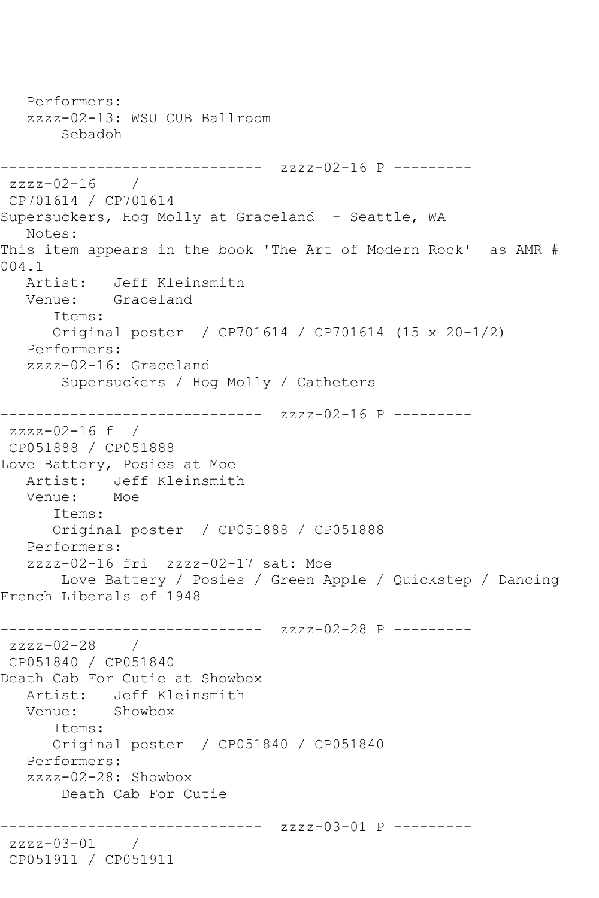```
 Performers:
    zzzz-02-13: WSU CUB Ballroom
        Sebadoh
------------------------------ zzzz-02-16 P ---------
zzzz-02-16 / 
CP701614 / CP701614
Supersuckers, Hog Molly at Graceland - Seattle, WA
   Notes: 
This item appears in the book 'The Art of Modern Rock' as AMR # 
004.1
  Artist: Jeff Kleinsmith<br>Venue: Graceland
            Graceland
       Items:
       Original poster / CP701614 / CP701614 (15 x 20-1/2)
   Performers:
    zzzz-02-16: Graceland
        Supersuckers / Hog Molly / Catheters
------------------------------ zzzz-02-16 P ---------
zzzz-02-16 f / 
CP051888 / CP051888
Love Battery, Posies at Moe
  Artist: Jeff Kleinsmith<br>Venue: Moe
  Venue:
       Items:
       Original poster / CP051888 / CP051888
   Performers:
    zzzz-02-16 fri zzzz-02-17 sat: Moe
        Love Battery / Posies / Green Apple / Quickstep / Dancing 
French Liberals of 1948
------------------------------ zzzz-02-28 P ---------
zzzz-02-28 /
CP051840 / CP051840
Death Cab For Cutie at Showbox
   Artist: Jeff Kleinsmith
   Venue: Showbox
       Items:
       Original poster / CP051840 / CP051840
   Performers:
    zzzz-02-28: Showbox
        Death Cab For Cutie
      ------------------------------ zzzz-03-01 P ---------
zzzz-03-01 / 
CP051911 / CP051911
```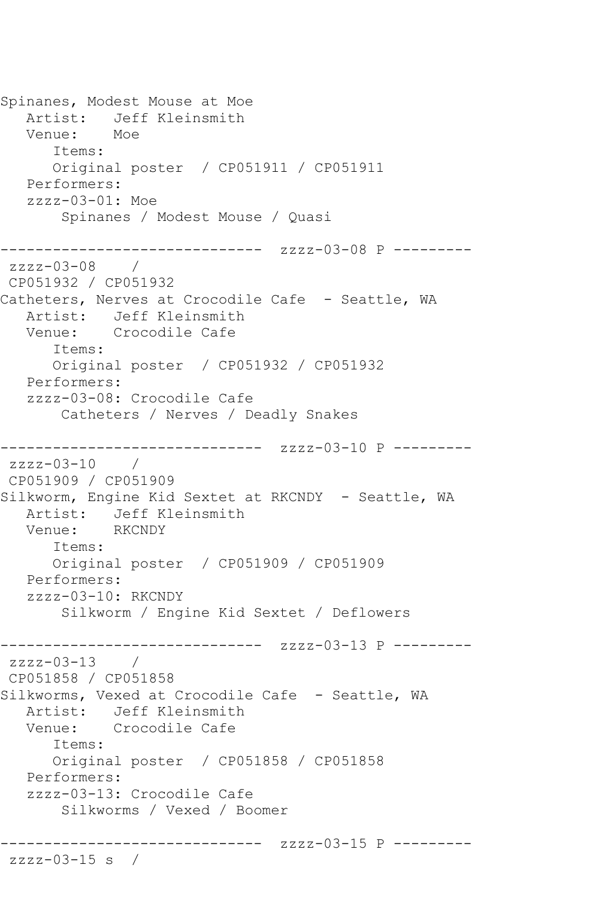```
Spinanes, Modest Mouse at Moe
   Artist: Jeff Kleinsmith
   Venue: Moe
       Items:
      Original poster / CP051911 / CP051911
   Performers:
   zzzz-03-01: Moe
        Spinanes / Modest Mouse / Quasi
------------------------------ zzzz-03-08 P ---------
zzzz-03-08 / 
CP051932 / CP051932
Catheters, Nerves at Crocodile Cafe - Seattle, WA
   Artist: Jeff Kleinsmith
   Venue: Crocodile Cafe
       Items:
      Original poster / CP051932 / CP051932
   Performers:
   zzzz-03-08: Crocodile Cafe
       Catheters / Nerves / Deadly Snakes
------------------------------ zzzz-03-10 P ---------
zzzz-03-10 / 
CP051909 / CP051909
Silkworm, Engine Kid Sextet at RKCNDY - Seattle, WA
   Artist: Jeff Kleinsmith
   Venue: RKCNDY
       Items:
      Original poster / CP051909 / CP051909
   Performers:
   zzzz-03-10: RKCNDY
        Silkworm / Engine Kid Sextet / Deflowers
         ------------------------------ zzzz-03-13 P ---------
zzzz-03-13 / 
CP051858 / CP051858
Silkworms, Vexed at Crocodile Cafe - Seattle, WA<br>Artist: Jeff Kleinsmith
           Jeff Kleinsmith
   Venue: Crocodile Cafe
       Items:
      Original poster / CP051858 / CP051858
   Performers:
   zzzz-03-13: Crocodile Cafe
        Silkworms / Vexed / Boomer
------------------------------ zzzz-03-15 P ---------
zzzz-03-15 s /
```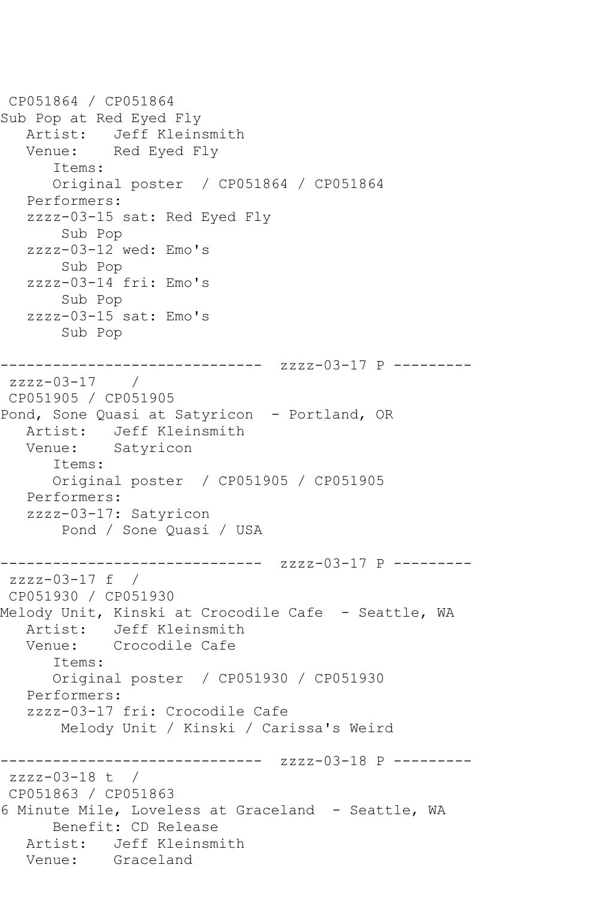```
CP051864 / CP051864
Sub Pop at Red Eyed Fly
   Artist: Jeff Kleinsmith
   Venue: Red Eyed Fly
       Items:
       Original poster / CP051864 / CP051864
   Performers:
    zzzz-03-15 sat: Red Eyed Fly
        Sub Pop
    zzzz-03-12 wed: Emo's
        Sub Pop
    zzzz-03-14 fri: Emo's
        Sub Pop
    zzzz-03-15 sat: Emo's
        Sub Pop
------------------------------ zzzz-03-17 P ---------
zzzz-03-17 / 
CP051905 / CP051905
Pond, Sone Quasi at Satyricon - Portland, OR
   Artist: Jeff Kleinsmith
   Venue: Satyricon
       Items:
       Original poster / CP051905 / CP051905
   Performers:
    zzzz-03-17: Satyricon
        Pond / Sone Quasi / USA
               ------------------------------ zzzz-03-17 P ---------
zzzz-03-17 f / 
CP051930 / CP051930
Melody Unit, Kinski at Crocodile Cafe - Seattle, WA
  Artist: Jeff Kleinsmith<br>Venue: Crocodile Cafe
            Crocodile Cafe
       Items:
       Original poster / CP051930 / CP051930
   Performers:
    zzzz-03-17 fri: Crocodile Cafe
        Melody Unit / Kinski / Carissa's Weird
                  ------------- zzzz-03-18 P ---------
zzzz-03-18 t / 
CP051863 / CP051863
6 Minute Mile, Loveless at Graceland - Seattle, WA
       Benefit: CD Release
   Artist: Jeff Kleinsmith
   Venue: Graceland
```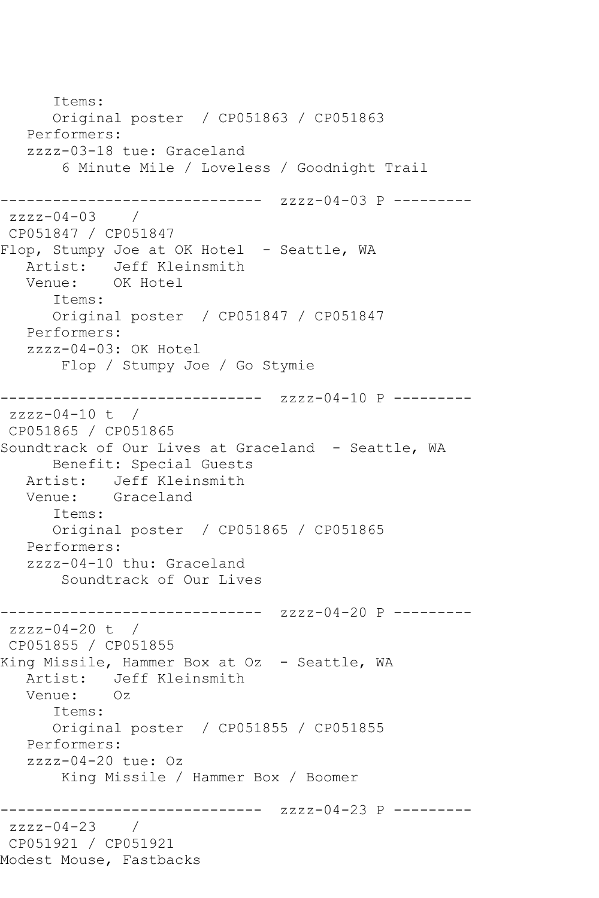Items: Original poster / CP051863 / CP051863 Performers: zzzz-03-18 tue: Graceland 6 Minute Mile / Loveless / Goodnight Trail ------------------------------ zzzz-04-03 P --------  $zzzz-04-03$  / CP051847 / CP051847 Flop, Stumpy Joe at OK Hotel - Seattle, WA Artist: Jeff Kleinsmith Venue: OK Hotel Items: Original poster / CP051847 / CP051847 Performers: zzzz-04-03: OK Hotel Flop / Stumpy Joe / Go Stymie ------------------------------ zzzz-04-10 P --------  $zzzz-04-10$  t / CP051865 / CP051865 Soundtrack of Our Lives at Graceland - Seattle, WA Benefit: Special Guests Artist: Jeff Kleinsmith Venue: Graceland Items: Original poster / CP051865 / CP051865 Performers: zzzz-04-10 thu: Graceland Soundtrack of Our Lives --------------- zzzz-04-20 P --------zzzz-04-20 t / CP051855 / CP051855 King Missile, Hammer Box at Oz - Seattle, WA Artist: Jeff Kleinsmith<br>Venue: Oz Venue: Items: Original poster / CP051855 / CP051855 Performers: zzzz-04-20 tue: Oz King Missile / Hammer Box / Boomer ------------------------------ zzzz-04-23 P -------- zzzz-04-23 / CP051921 / CP051921 Modest Mouse, Fastbacks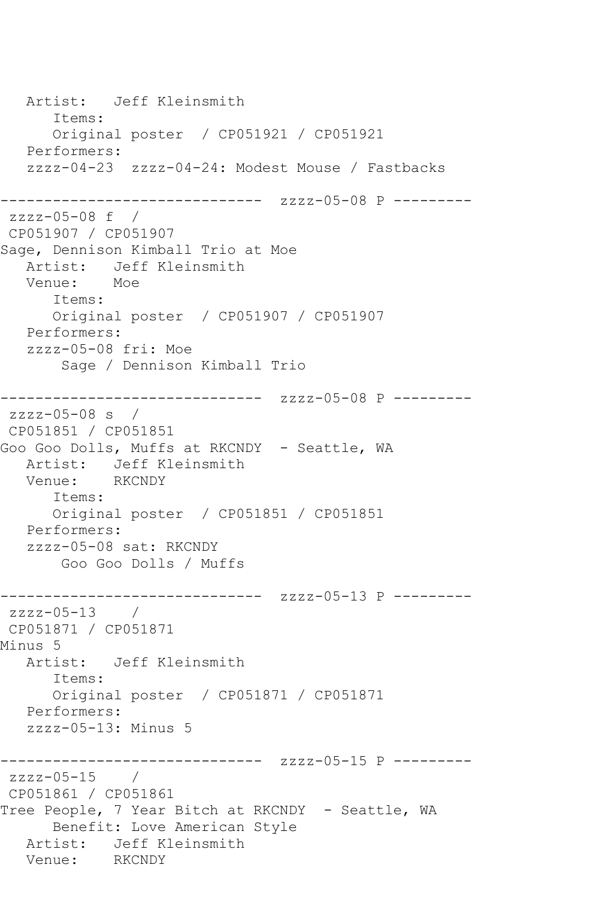Artist: Jeff Kleinsmith Items: Original poster / CP051921 / CP051921 Performers: zzzz-04-23 zzzz-04-24: Modest Mouse / Fastbacks ------------------------------ zzzz-05-08 P -------- zzzz-05-08 f / CP051907 / CP051907 Sage, Dennison Kimball Trio at Moe Artist: Jeff Kleinsmith Venue: Moe Items: Original poster / CP051907 / CP051907 Performers: zzzz-05-08 fri: Moe Sage / Dennison Kimball Trio ------------------------------ zzzz-05-08 P -------- zzzz-05-08 s / CP051851 / CP051851 Goo Goo Dolls, Muffs at RKCNDY - Seattle, WA Artist: Jeff Kleinsmith Venue: RKCNDY Items: Original poster / CP051851 / CP051851 Performers: zzzz-05-08 sat: RKCNDY Goo Goo Dolls / Muffs ------------------------------ zzzz-05-13 P -------- zzzz-05-13 / CP051871 / CP051871 Minus 5 Artist: Jeff Kleinsmith Items: Original poster / CP051871 / CP051871 Performers: zzzz-05-13: Minus 5 ------------------------------ zzzz-05-15 P -------- zzzz-05-15 / CP051861 / CP051861 Tree People, 7 Year Bitch at RKCNDY - Seattle, WA Benefit: Love American Style Artist: Jeff Kleinsmith<br>Venue: RKCNDY Venue: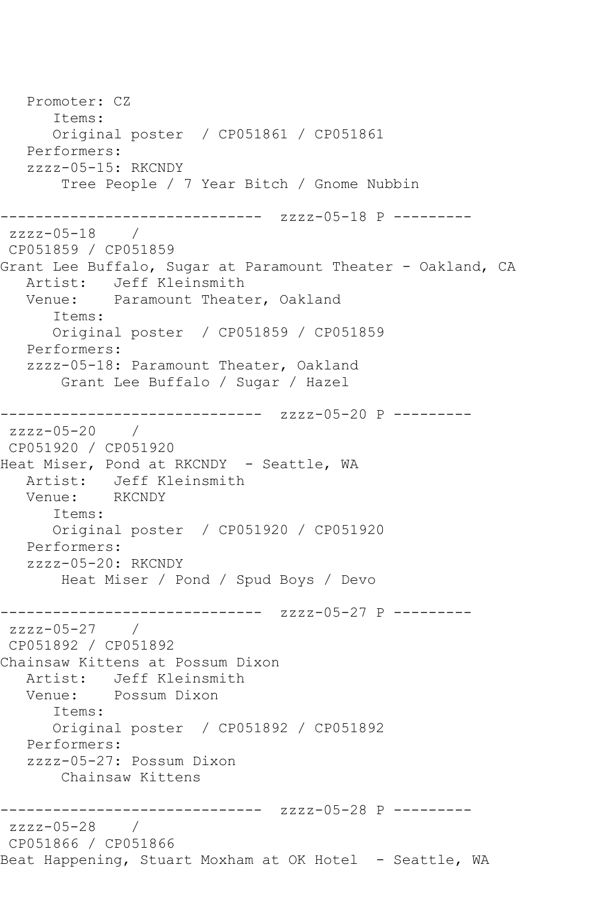Promoter: CZ Items: Original poster / CP051861 / CP051861 Performers: zzzz-05-15: RKCNDY Tree People / 7 Year Bitch / Gnome Nubbin ------------------------------ zzzz-05-18 P -------- zzzz-05-18 / CP051859 / CP051859 Grant Lee Buffalo, Sugar at Paramount Theater - Oakland, CA Artist: Jeff Kleinsmith<br>Venue: Paramount Theate Paramount Theater, Oakland Items: Original poster / CP051859 / CP051859 Performers: zzzz-05-18: Paramount Theater, Oakland Grant Lee Buffalo / Sugar / Hazel ------------------------------ zzzz-05-20 P -------- zzzz-05-20 / CP051920 / CP051920 Heat Miser, Pond at RKCNDY - Seattle, WA Artist: Jeff Kleinsmith Venue: RKCNDY Items: Original poster / CP051920 / CP051920 Performers: zzzz-05-20: RKCNDY Heat Miser / Pond / Spud Boys / Devo ------------------------------ zzzz-05-27 P --------  $zzzz-05-27$  / CP051892 / CP051892 Chainsaw Kittens at Possum Dixon Artist: Jeff Kleinsmith<br>Venue: Possum Dixon Possum Dixon Items: Original poster / CP051892 / CP051892 Performers: zzzz-05-27: Possum Dixon Chainsaw Kittens ------------------------------ zzzz-05-28 P -------- zzzz-05-28 / CP051866 / CP051866 Beat Happening, Stuart Moxham at OK Hotel - Seattle, WA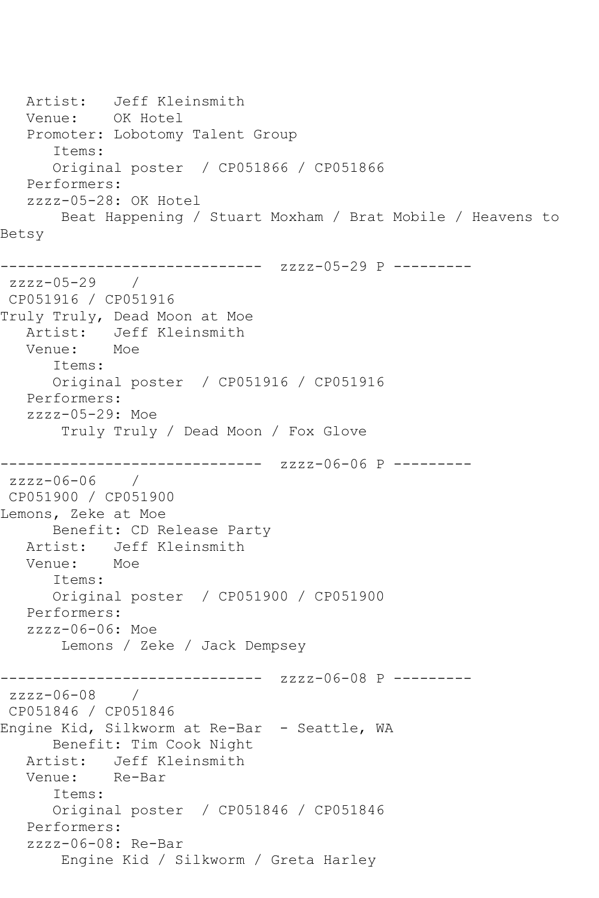```
Artist: Jeff Kleinsmith<br>Venue: OK Hotel
           OK Hotel
   Promoter: Lobotomy Talent Group
       Items:
      Original poster / CP051866 / CP051866
   Performers:
   zzzz-05-28: OK Hotel
       Beat Happening / Stuart Moxham / Brat Mobile / Heavens to 
Betsy
------------------------------ zzzz-05-29 P ---------
zzzz-05-29 / 
CP051916 / CP051916
Truly Truly, Dead Moon at Moe
   Artist: Jeff Kleinsmith
   Venue: Moe
       Items:
      Original poster / CP051916 / CP051916
   Performers:
   zzzz-05-29: Moe
        Truly Truly / Dead Moon / Fox Glove
------------------------------ zzzz-06-06 P ---------
zzzz-06-06 / 
CP051900 / CP051900
Lemons, Zeke at Moe
      Benefit: CD Release Party
   Artist: Jeff Kleinsmith
   Venue: Moe
       Items:
      Original poster / CP051900 / CP051900
   Performers:
   zzzz-06-06: Moe
       Lemons / Zeke / Jack Dempsey
------------------------------ zzzz-06-08 P ---------
zzzz-06-08 / 
CP051846 / CP051846
Engine Kid, Silkworm at Re-Bar - Seattle, WA
      Benefit: Tim Cook Night
   Artist: Jeff Kleinsmith
   Venue: Re-Bar
       Items:
      Original poster / CP051846 / CP051846
   Performers:
   zzzz-06-08: Re-Bar
        Engine Kid / Silkworm / Greta Harley
```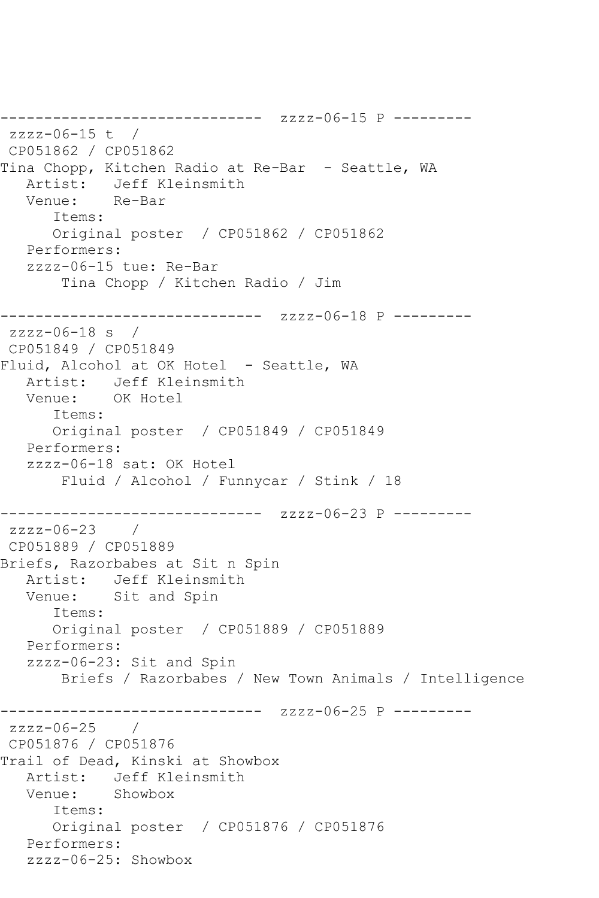```
------------------------------ zzzz-06-15 P ---------
zzzz-06-15 t / 
CP051862 / CP051862
Tina Chopp, Kitchen Radio at Re-Bar - Seattle, WA
  Artist: Jeff Kleinsmith<br>Venue: Re-Bar
  Venue:
       Items:
       Original poster / CP051862 / CP051862
   Performers:
    zzzz-06-15 tue: Re-Bar
        Tina Chopp / Kitchen Radio / Jim
------------------------------ zzzz-06-18 P ---------
zzzz-06-18 s / 
CP051849 / CP051849
Fluid, Alcohol at OK Hotel - Seattle, WA
   Artist: Jeff Kleinsmith
   Venue: OK Hotel
       Items:
      Original poster / CP051849 / CP051849
   Performers:
    zzzz-06-18 sat: OK Hotel
        Fluid / Alcohol / Funnycar / Stink / 18
------------------------------ zzzz-06-23 P ---------
zzzz-06-23 / 
CP051889 / CP051889
Briefs, Razorbabes at Sit n Spin
  Artist: Jeff Kleinsmith<br>Venue: Sit and Spin
            Sit and Spin
       Items:
       Original poster / CP051889 / CP051889
   Performers:
   zzzz-06-23: Sit and Spin
        Briefs / Razorbabes / New Town Animals / Intelligence
------------------------------ zzzz-06-25 P ---------
zzzz-06-25 / 
CP051876 / CP051876
Trail of Dead, Kinski at Showbox
   Artist: Jeff Kleinsmith
   Venue: Showbox
       Items:
       Original poster / CP051876 / CP051876
   Performers:
   zzzz-06-25: Showbox
```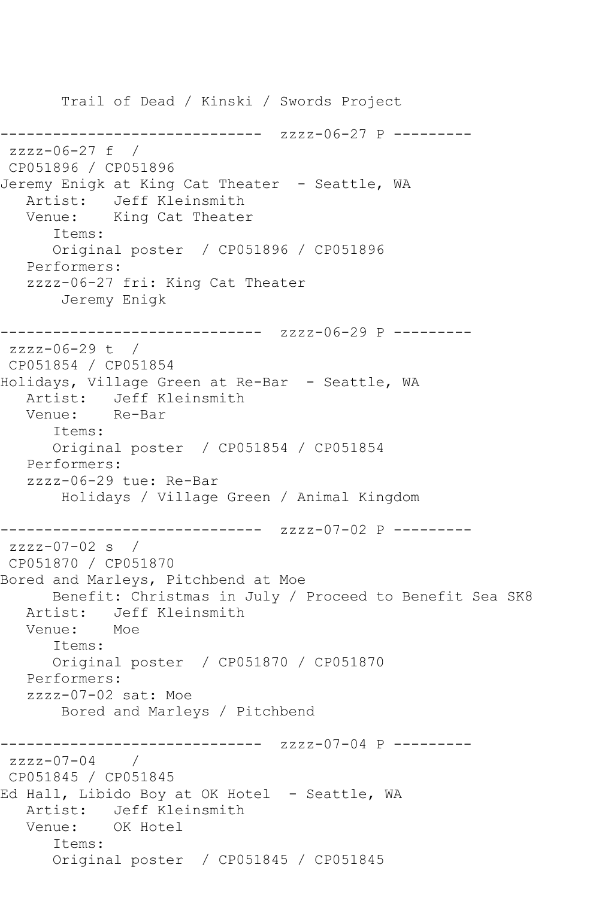Trail of Dead / Kinski / Swords Project ---------------- zzzz-06-27 P --------zzzz-06-27 f / CP051896 / CP051896 Jeremy Enigk at King Cat Theater - Seattle, WA Artist: Jeff Kleinsmith Venue: King Cat Theater Items: Original poster / CP051896 / CP051896 Performers: zzzz-06-27 fri: King Cat Theater Jeremy Enigk ------------------------------ zzzz-06-29 P -------- zzzz-06-29 t / CP051854 / CP051854 Holidays, Village Green at Re-Bar - Seattle, WA Artist: Jeff Kleinsmith<br>Venue: Re-Bar Venue: Items: Original poster / CP051854 / CP051854 Performers: zzzz-06-29 tue: Re-Bar Holidays / Village Green / Animal Kingdom ------------------------------ zzzz-07-02 P -------- zzzz-07-02 s / CP051870 / CP051870 Bored and Marleys, Pitchbend at Moe Benefit: Christmas in July / Proceed to Benefit Sea SK8 Artist: Jeff Kleinsmith<br>Venue: Moe Venue: Items: Original poster / CP051870 / CP051870 Performers: zzzz-07-02 sat: Moe Bored and Marleys / Pitchbend ------------------------------ zzzz-07-04 P -------- zzzz-07-04 / CP051845 / CP051845 Ed Hall, Libido Boy at OK Hotel - Seattle, WA Artist: Jeff Kleinsmith Venue: OK Hotel Items: Original poster / CP051845 / CP051845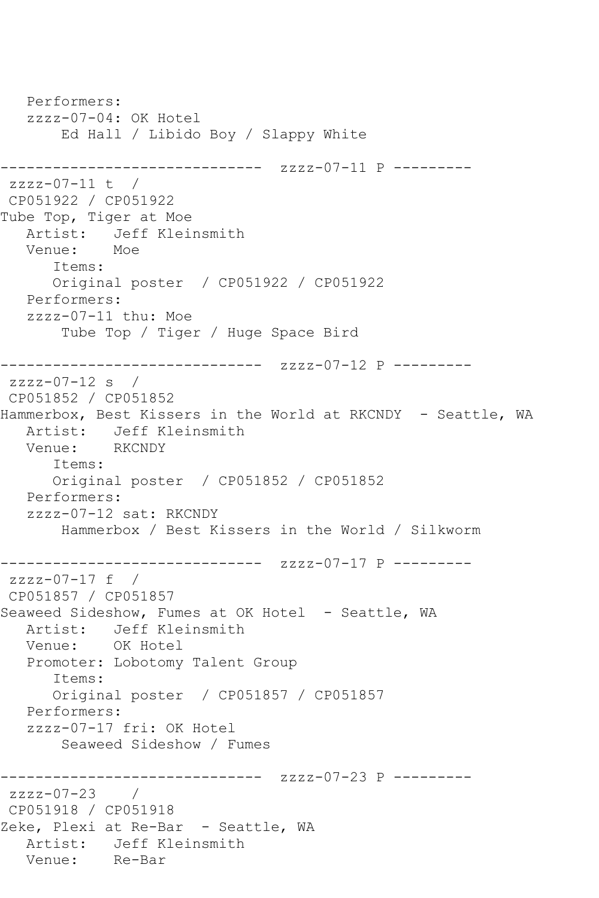```
 Performers:
   zzzz-07-04: OK Hotel
        Ed Hall / Libido Boy / Slappy White
------------------------------ zzzz-07-11 P ---------
zzzz-07-11 t / 
CP051922 / CP051922
Tube Top, Tiger at Moe
   Artist: Jeff Kleinsmith
   Venue: Moe
       Items:
      Original poster / CP051922 / CP051922
   Performers:
   zzzz-07-11 thu: Moe
        Tube Top / Tiger / Huge Space Bird
------------------------------ zzzz-07-12 P ---------
zzzz-07-12 s / 
CP051852 / CP051852
Hammerbox, Best Kissers in the World at RKCNDY - Seattle, WA
   Artist: Jeff Kleinsmith
   Venue: RKCNDY
      Items:
      Original poster / CP051852 / CP051852
   Performers:
   zzzz-07-12 sat: RKCNDY
        Hammerbox / Best Kissers in the World / Silkworm
------------------------------ zzzz-07-17 P ---------
zzzz-07-17 f / 
CP051857 / CP051857
Seaweed Sideshow, Fumes at OK Hotel - Seattle, WA
  Artist: Jeff Kleinsmith<br>Venue: OK Hotel
  Venue:
   Promoter: Lobotomy Talent Group
       Items:
      Original poster / CP051857 / CP051857
   Performers:
   zzzz-07-17 fri: OK Hotel
        Seaweed Sideshow / Fumes
------------------------------ zzzz-07-23 P ---------
zzzz-07-23 / 
CP051918 / CP051918
Zeke, Plexi at Re-Bar - Seattle, WA
  Artist: Jeff Kleinsmith<br>Venue: Re-Bar
  Venue:
```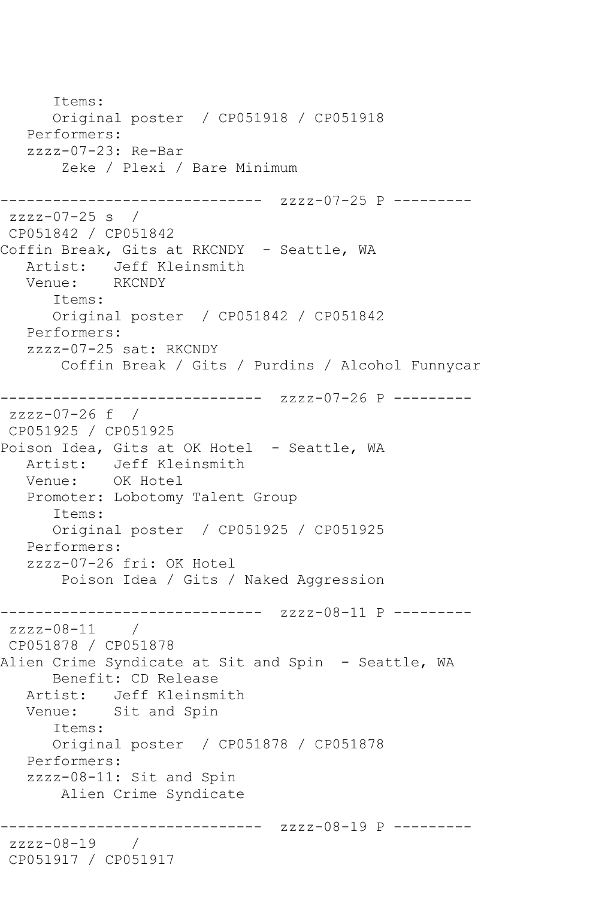Items: Original poster / CP051918 / CP051918 Performers: zzzz-07-23: Re-Bar Zeke / Plexi / Bare Minimum ----------------------- zzzz-07-25 P --------zzzz-07-25 s / CP051842 / CP051842 Coffin Break, Gits at RKCNDY - Seattle, WA Artist: Jeff Kleinsmith<br>Venue: RKCNDY Venue: Items: Original poster / CP051842 / CP051842 Performers: zzzz-07-25 sat: RKCNDY Coffin Break / Gits / Purdins / Alcohol Funnycar ------------------------------ zzzz-07-26 P -------- zzzz-07-26 f / CP051925 / CP051925 Poison Idea, Gits at OK Hotel - Seattle, WA Artist: Jeff Kleinsmith Venue: OK Hotel Promoter: Lobotomy Talent Group Items: Original poster / CP051925 / CP051925 Performers: zzzz-07-26 fri: OK Hotel Poison Idea / Gits / Naked Aggression ------------------------------ zzzz-08-11 P --------  $zzzz-08-11$  / CP051878 / CP051878 Alien Crime Syndicate at Sit and Spin - Seattle, WA Benefit: CD Release Artist: Jeff Kleinsmith Venue: Sit and Spin Items: Original poster / CP051878 / CP051878 Performers: zzzz-08-11: Sit and Spin Alien Crime Syndicate ---------------------- zzzz-08-19 P --------zzzz-08-19 / CP051917 / CP051917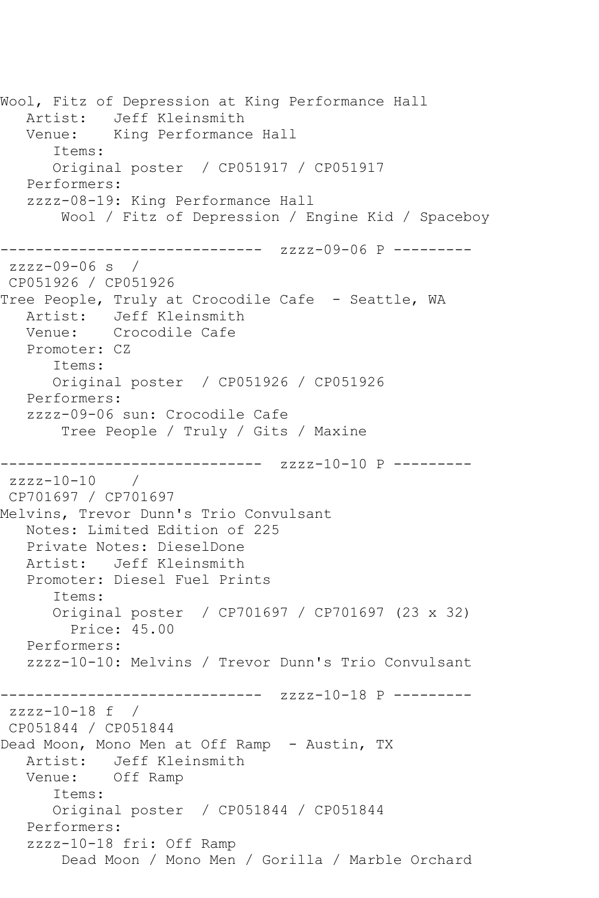Wool, Fitz of Depression at King Performance Hall Artist: Jeff Kleinsmith Venue: King Performance Hall Items: Original poster / CP051917 / CP051917 Performers: zzzz-08-19: King Performance Hall Wool / Fitz of Depression / Engine Kid / Spaceboy ------------------------------ zzzz-09-06 P -------- zzzz-09-06 s / CP051926 / CP051926 Tree People, Truly at Crocodile Cafe - Seattle, WA Artist: Jeff Kleinsmith Venue: Crocodile Cafe Promoter: CZ Items: Original poster / CP051926 / CP051926 Performers: zzzz-09-06 sun: Crocodile Cafe Tree People / Truly / Gits / Maxine ------------------------------ zzzz-10-10 P -------- zzzz-10-10 CP701697 / CP701697 Melvins, Trevor Dunn's Trio Convulsant Notes: Limited Edition of 225 Private Notes: DieselDone Artist: Jeff Kleinsmith Promoter: Diesel Fuel Prints Items: Original poster / CP701697 / CP701697 (23 x 32) Price: 45.00 Performers: zzzz-10-10: Melvins / Trevor Dunn's Trio Convulsant ------------------------------ zzzz-10-18 P -------- zzzz-10-18 f / CP051844 / CP051844 Dead Moon, Mono Men at Off Ramp - Austin, TX Artist: Jeff Kleinsmith Venue: Off Ramp Items: Original poster / CP051844 / CP051844 Performers: zzzz-10-18 fri: Off Ramp Dead Moon / Mono Men / Gorilla / Marble Orchard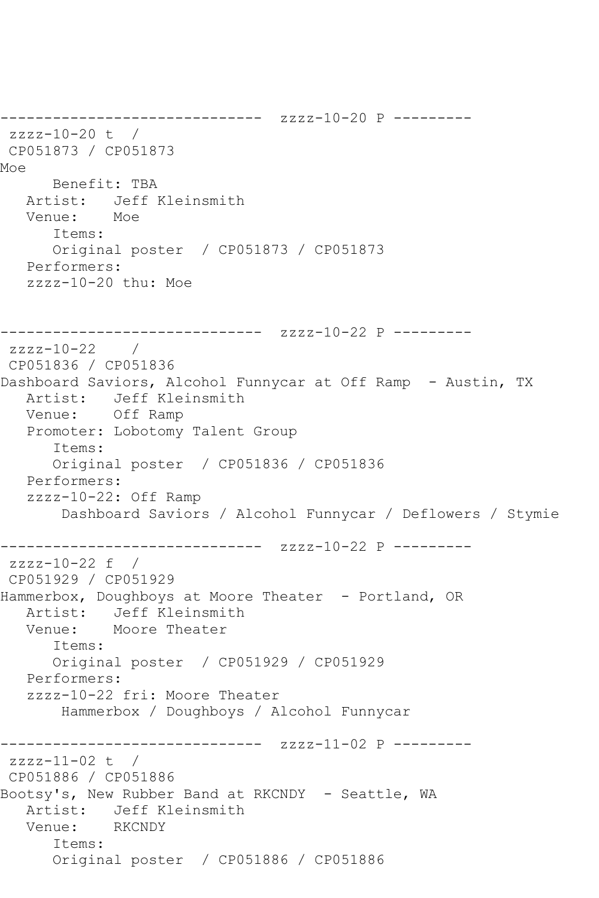------------------------------ zzzz-10-20 P -------- zzzz-10-20 t / CP051873 / CP051873 Moe Benefit: TBA Artist: Jeff Kleinsmith Venue: Moe Items: Original poster / CP051873 / CP051873 Performers: zzzz-10-20 thu: Moe ------------------------------ zzzz-10-22 P -------- zzzz-10-22 / CP051836 / CP051836 Dashboard Saviors, Alcohol Funnycar at Off Ramp - Austin, TX Artist: Jeff Kleinsmith Venue: Off Ramp Promoter: Lobotomy Talent Group Items: Original poster / CP051836 / CP051836 Performers: zzzz-10-22: Off Ramp Dashboard Saviors / Alcohol Funnycar / Deflowers / Stymie --------------- zzzz-10-22 P --------zzzz-10-22 f / CP051929 / CP051929 Hammerbox, Doughboys at Moore Theater - Portland, OR Artist: Jeff Kleinsmith Venue: Moore Theater Items: Original poster / CP051929 / CP051929 Performers: zzzz-10-22 fri: Moore Theater Hammerbox / Doughboys / Alcohol Funnycar ------------------------------ zzzz-11-02 P -------- zzzz-11-02 t / CP051886 / CP051886 Bootsy's, New Rubber Band at RKCNDY - Seattle, WA Artist: Jeff Kleinsmith<br>Venue: RKCNDY Venue: Items: Original poster / CP051886 / CP051886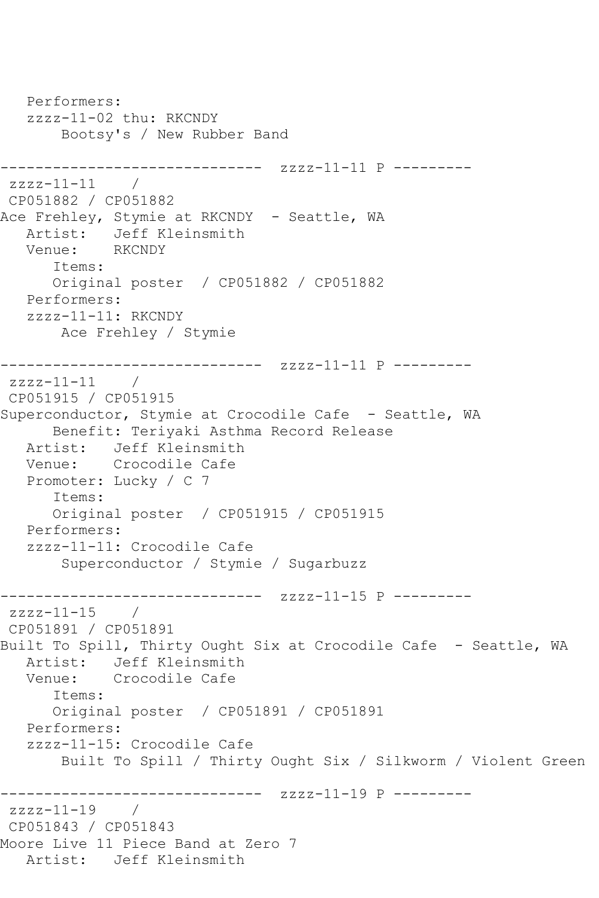```
 Performers:
   zzzz-11-02 thu: RKCNDY
       Bootsy's / New Rubber Band
------------------------------ zzzz-11-11 P ---------
zzzz-11-11 / 
CP051882 / CP051882
Ace Frehley, Stymie at RKCNDY - Seattle, WA
   Artist: Jeff Kleinsmith
   Venue: RKCNDY
      Items:
      Original poster / CP051882 / CP051882
   Performers:
   zzzz-11-11: RKCNDY
       Ace Frehley / Stymie
------------------------------ zzzz-11-11 P ---------
zzzz-11-11 / 
CP051915 / CP051915
Superconductor, Stymie at Crocodile Cafe - Seattle, WA
      Benefit: Teriyaki Asthma Record Release
   Artist: Jeff Kleinsmith
   Venue: Crocodile Cafe
   Promoter: Lucky / C 7
      Items:
      Original poster / CP051915 / CP051915
   Performers:
   zzzz-11-11: Crocodile Cafe
       Superconductor / Stymie / Sugarbuzz
          ------------------------------ zzzz-11-15 P ---------
zzzz-11-15 / 
CP051891 / CP051891
Built To Spill, Thirty Ought Six at Crocodile Cafe - Seattle, WA
   Artist: Jeff Kleinsmith
   Venue: Crocodile Cafe
      Items:
      Original poster / CP051891 / CP051891
   Performers:
   zzzz-11-15: Crocodile Cafe
       Built To Spill / Thirty Ought Six / Silkworm / Violent Green
------------------------------ zzzz-11-19 P ---------
zzzz-11-19CP051843 / CP051843
Moore Live 11 Piece Band at Zero 7
   Artist: Jeff Kleinsmith
```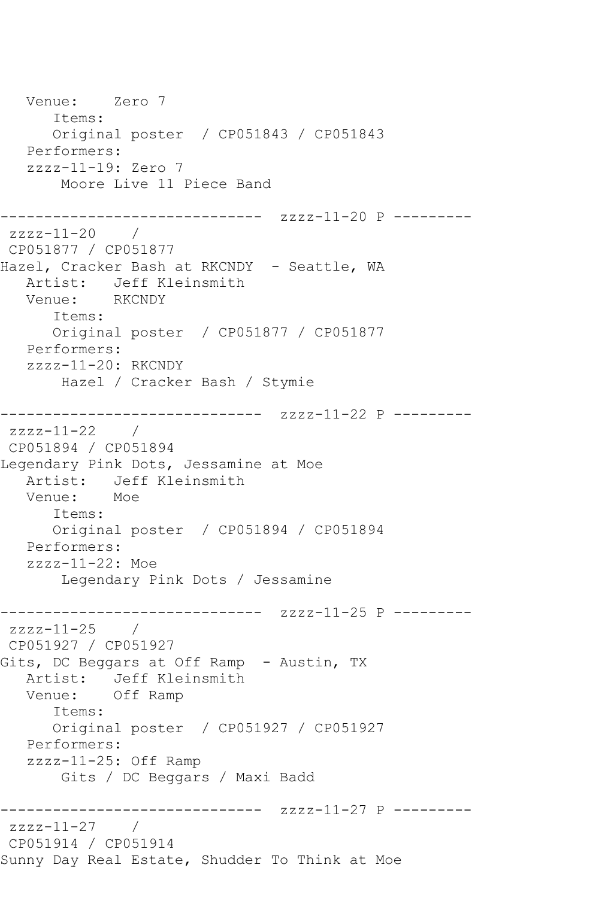```
 Venue: Zero 7
       Items:
       Original poster / CP051843 / CP051843
   Performers:
   zzzz-11-19: Zero 7
       Moore Live 11 Piece Band
------------------------------ zzzz-11-20 P ---------
zzzz-11-20 / 
CP051877 / CP051877
Hazel, Cracker Bash at RKCNDY - Seattle, WA
  Artist: Jeff Kleinsmith<br>Venue: RKCNDY
  Venue:
       Items:
      Original poster / CP051877 / CP051877
   Performers:
   zzzz-11-20: RKCNDY
       Hazel / Cracker Bash / Stymie
------------------------------ zzzz-11-22 P ---------
zzzz-11-22 / 
CP051894 / CP051894
Legendary Pink Dots, Jessamine at Moe
  Artist: Jeff Kleinsmith<br>Venue: Moe
  Venue:
      Items:
       Original poster / CP051894 / CP051894
   Performers:
   zzzz-11-22: Moe
        Legendary Pink Dots / Jessamine
------------------------------ zzzz-11-25 P ---------
zzzz-11-25 / 
CP051927 / CP051927
Gits, DC Beggars at Off Ramp - Austin, TX
   Artist: Jeff Kleinsmith
   Venue: Off Ramp
       Items:
      Original poster / CP051927 / CP051927
   Performers:
   zzzz-11-25: Off Ramp
        Gits / DC Beggars / Maxi Badd
------------------------------ zzzz-11-27 P ---------
zzzz-11-27 / 
CP051914 / CP051914
Sunny Day Real Estate, Shudder To Think at Moe
```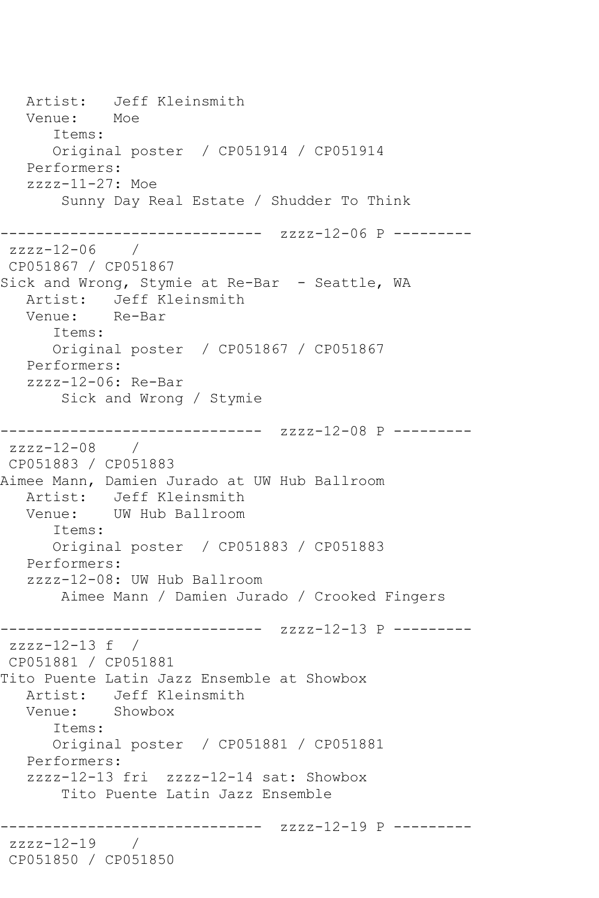Artist: Jeff Kleinsmith Venue: Moe Items: Original poster / CP051914 / CP051914 Performers: zzzz-11-27: Moe Sunny Day Real Estate / Shudder To Think ------------------------------ zzzz-12-06 P -------- zzzz-12-06 / CP051867 / CP051867 Sick and Wrong, Stymie at Re-Bar - Seattle, WA Artist: Jeff Kleinsmith Venue: Re-Bar Items: Original poster / CP051867 / CP051867 Performers: zzzz-12-06: Re-Bar Sick and Wrong / Stymie ------------------------------ zzzz-12-08 P -------- zzzz-12-08 / CP051883 / CP051883 Aimee Mann, Damien Jurado at UW Hub Ballroom Artist: Jeff Kleinsmith<br>Venue: UW Hub Ballroom UW Hub Ballroom Items: Original poster / CP051883 / CP051883 Performers: zzzz-12-08: UW Hub Ballroom Aimee Mann / Damien Jurado / Crooked Fingers ------------------------------ zzzz-12-13 P --------  $zzzz-12-13$  f / CP051881 / CP051881 Tito Puente Latin Jazz Ensemble at Showbox Artist: Jeff Kleinsmith Venue: Showbox Items: Original poster / CP051881 / CP051881 Performers: zzzz-12-13 fri zzzz-12-14 sat: Showbox Tito Puente Latin Jazz Ensemble ------------------------------ zzzz-12-19 P -------- zzzz-12-19 / CP051850 / CP051850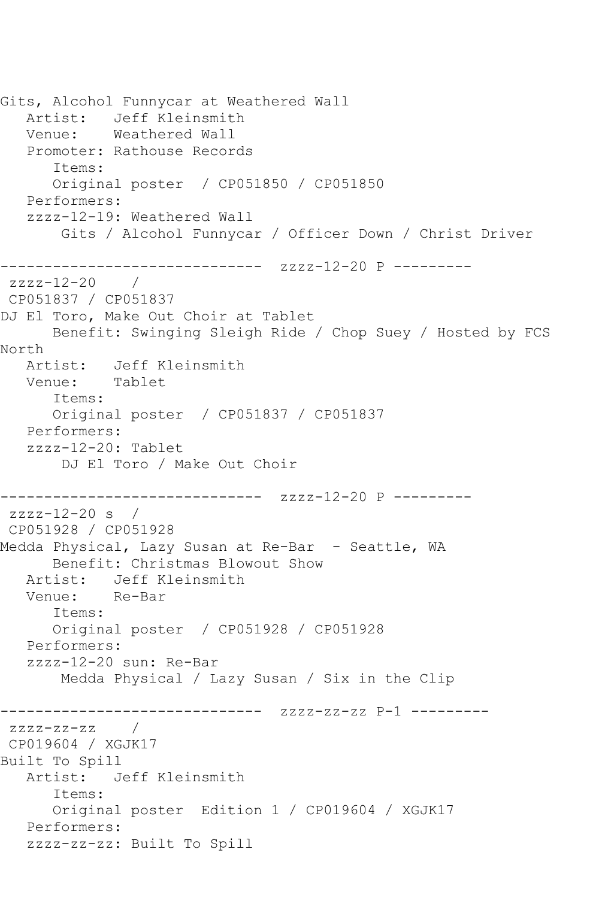Gits, Alcohol Funnycar at Weathered Wall Artist: Jeff Kleinsmith Venue: Weathered Wall Promoter: Rathouse Records Items: Original poster / CP051850 / CP051850 Performers: zzzz-12-19: Weathered Wall Gits / Alcohol Funnycar / Officer Down / Christ Driver ------------------------------ zzzz-12-20 P -------- zzzz-12-20 / CP051837 / CP051837 DJ El Toro, Make Out Choir at Tablet Benefit: Swinging Sleigh Ride / Chop Suey / Hosted by FCS North Artist: Jeff Kleinsmith Venue: Tablet Items: Original poster / CP051837 / CP051837 Performers: zzzz-12-20: Tablet DJ El Toro / Make Out Choir --------------- zzzz-12-20 P -------- $zzzz-12-20$  s / CP051928 / CP051928 Medda Physical, Lazy Susan at Re-Bar - Seattle, WA Benefit: Christmas Blowout Show Artist: Jeff Kleinsmith<br>Venue: Re-Bar Venue: Items: Original poster / CP051928 / CP051928 Performers: zzzz-12-20 sun: Re-Bar Medda Physical / Lazy Susan / Six in the Clip ------------------------------ zzzz-zz-zz P-1 --------  $zzzz-zz-zz$  / CP019604 / XGJK17 Built To Spill Artist: Jeff Kleinsmith Items: Original poster Edition 1 / CP019604 / XGJK17 Performers: zzzz-zz-zz: Built To Spill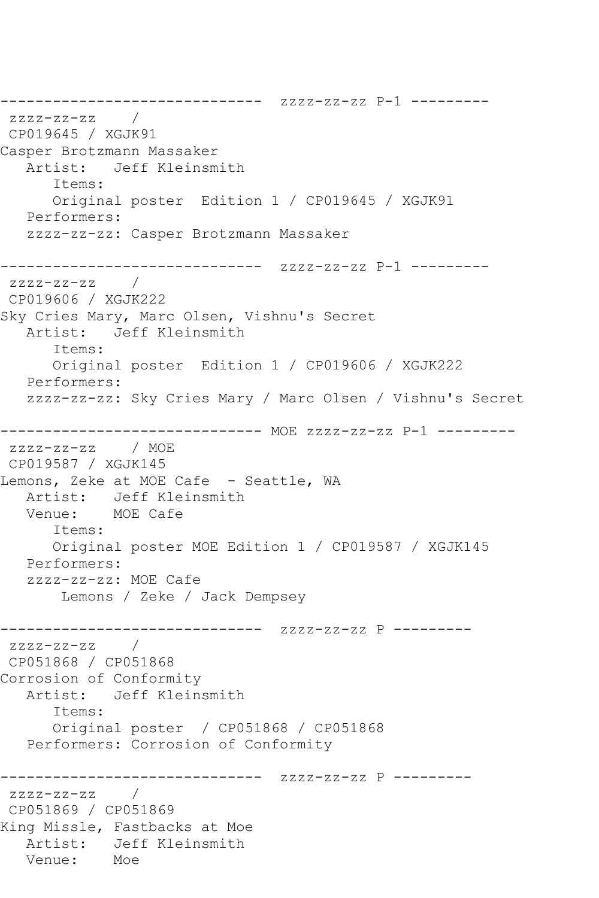------------------------------ zzzz-zz-zz P-1 --------  $zzzz-zz-zz$  / CP019645 / XGJK91 Casper Brotzmann Massaker Artist: Jeff Kleinsmith Items: Original poster Edition 1 / CP019645 / XGJK91 Performers: zzzz-zz-zz: Casper Brotzmann Massaker ------------------------------ zzzz-zz-zz P-1 --------  $zzzz-zz-zz$  / CP019606 / XGJK222 Sky Cries Mary, Marc Olsen, Vishnu's Secret Artist: Jeff Kleinsmith Items: Original poster Edition 1 / CP019606 / XGJK222 Performers: zzzz-zz-zz: Sky Cries Mary / Marc Olsen / Vishnu's Secret ------------------------------ MOE zzzz-zz-zz P-1 -------- zzzz-zz-zz / MOE CP019587 / XGJK145 Lemons, Zeke at MOE Cafe - Seattle, WA Artist: Jeff Kleinsmith<br>Venue: MOE Cafe MOE Cafe Items: Original poster MOE Edition 1 / CP019587 / XGJK145 Performers: zzzz-zz-zz: MOE Cafe Lemons / Zeke / Jack Dempsey ------------------------------ zzzz-zz-zz P --------  $zzzz-zz-zz$  / CP051868 / CP051868 Corrosion of Conformity Artist: Jeff Kleinsmith Items: Original poster / CP051868 / CP051868 Performers: Corrosion of Conformity ------------------------------ zzzz-zz-zz P -------- zzzz-zz-zz / CP051869 / CP051869 King Missle, Fastbacks at Moe Artist: Jeff Kleinsmith<br>Venue: Moe Venue: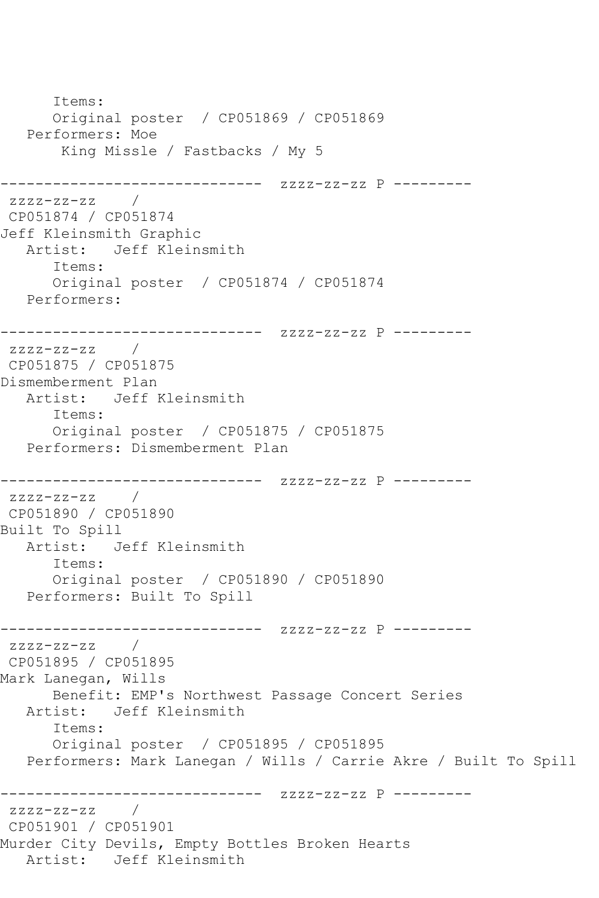Items: Original poster / CP051869 / CP051869 Performers: Moe King Missle / Fastbacks / My 5 ------------------------------ zzzz-zz-zz P -------- zzzz-zz-zz / CP051874 / CP051874 Jeff Kleinsmith Graphic Artist: Jeff Kleinsmith Items: Original poster / CP051874 / CP051874 Performers: ------------------------------ zzzz-zz-zz P --------  $zzzz-zz-zz$  / CP051875 / CP051875 Dismemberment Plan Artist: Jeff Kleinsmith Items: Original poster / CP051875 / CP051875 Performers: Dismemberment Plan ------------------------------ zzzz-zz-zz P -------- zzzz-zz-zz / CP051890 / CP051890 Built To Spill Artist: Jeff Kleinsmith Items: Original poster / CP051890 / CP051890 Performers: Built To Spill ------------------------------ zzzz-zz-zz P --------  $zzzz-zz-zz$  / CP051895 / CP051895 Mark Lanegan, Wills Benefit: EMP's Northwest Passage Concert Series Artist: Jeff Kleinsmith Items: Original poster / CP051895 / CP051895 Performers: Mark Lanegan / Wills / Carrie Akre / Built To Spill ------------------------------ zzzz-zz-zz P -------- zzzz-zz-zz / CP051901 / CP051901 Murder City Devils, Empty Bottles Broken Hearts Artist: Jeff Kleinsmith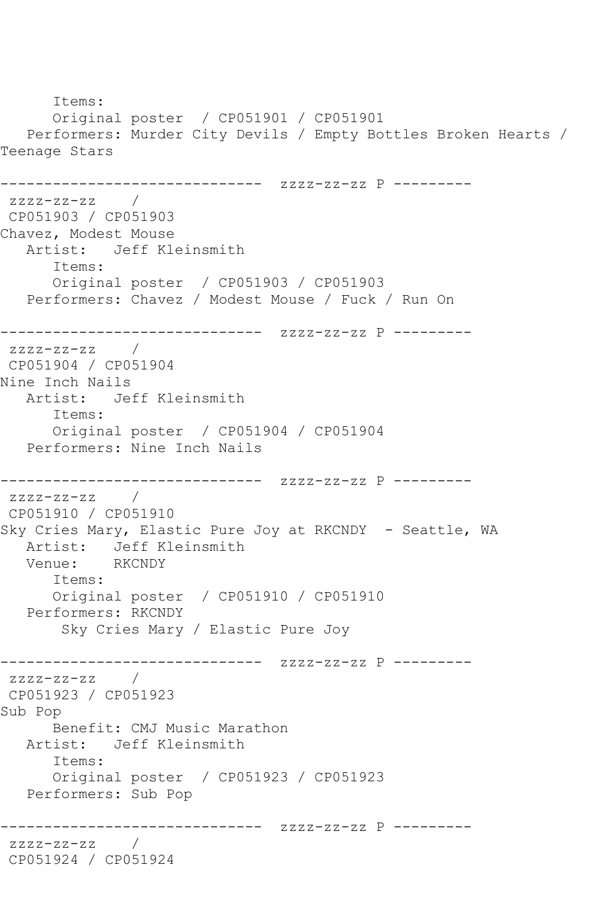Items: Original poster / CP051901 / CP051901 Performers: Murder City Devils / Empty Bottles Broken Hearts / Teenage Stars ------------------------------ zzzz-zz-zz P -------- zzzz-zz-zz / CP051903 / CP051903 Chavez, Modest Mouse Artist: Jeff Kleinsmith Items: Original poster / CP051903 / CP051903 Performers: Chavez / Modest Mouse / Fuck / Run On ------------------------------ zzzz-zz-zz P --------  $zzzz-zz-zz$  / CP051904 / CP051904 Nine Inch Nails Artist: Jeff Kleinsmith Items: Original poster / CP051904 / CP051904 Performers: Nine Inch Nails ------------------------------ zzzz-zz-zz P --------  $zzzz-zz-zz$  / CP051910 / CP051910 Sky Cries Mary, Elastic Pure Joy at RKCNDY - Seattle, WA Artist: Jeff Kleinsmith<br>Venue: RKCNDY Venue: Items: Original poster / CP051910 / CP051910 Performers: RKCNDY Sky Cries Mary / Elastic Pure Joy ------------------------------ zzzz-zz-zz P -------- zzzz-zz-zz / CP051923 / CP051923 Sub Pop Benefit: CMJ Music Marathon Artist: Jeff Kleinsmith Items: Original poster / CP051923 / CP051923 Performers: Sub Pop ------------------------------ zzzz-zz-zz P -------- zzzz-zz-zz / CP051924 / CP051924